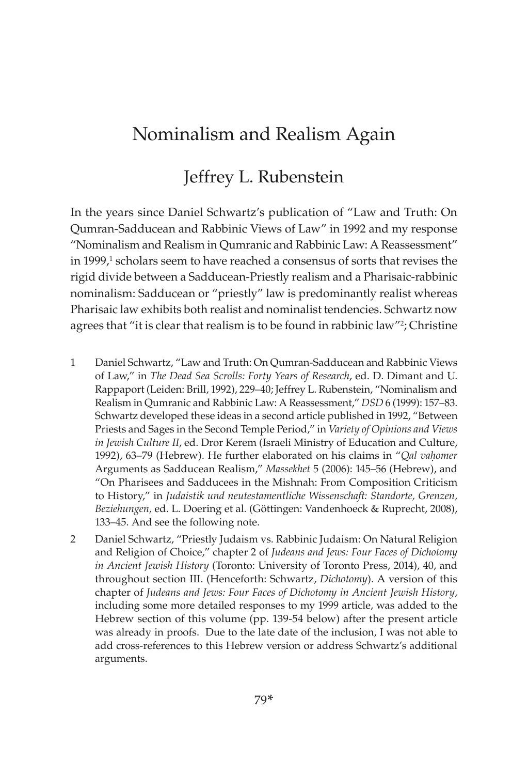# Nominalism and Realism Again

# Jeffrey L. Rubenstein

In the years since Daniel Schwartz's publication of "Law and Truth: On Qumran-Sadducean and Rabbinic Views of Law" in 1992 and my response "Nominalism and Realism in Qumranic and Rabbinic Law: A Reassessment" in 1999,<sup>1</sup> scholars seem to have reached a consensus of sorts that revises the rigid divide between a Sadducean-Priestly realism and a Pharisaic-rabbinic nominalism: Sadducean or "priestly" law is predominantly realist whereas Pharisaic law exhibits both realist and nominalist tendencies. Schwartz now agrees that "it is clear that realism is to be found in rabbinic law"2 ; Christine

- 1 Daniel Schwartz, "Law and Truth: On Qumran-Sadducean and Rabbinic Views of Law," in *The Dead Sea Scrolls: Forty Years of Research*, ed. D. Dimant and U. Rappaport (Leiden: Brill, 1992), 229–40; Jeffrey L. Rubenstein, "Nominalism and Realism in Qumranic and Rabbinic Law: A Reassessment," *DSD* 6 (1999): 157–83. Schwartz developed these ideas in a second article published in 1992, "Between Priests and Sages in the Second Temple Period," in *Variety of Opinions and Views in Jewish Culture II*, ed. Dror Kerem (Israeli Ministry of Education and Culture, 1992), 63-79 (Hebrew). He further elaborated on his claims in "Qal vahomer Arguments as Sadducean Realism," *Massekhet* 5 (2006): 145–56 (Hebrew), and "On Pharisees and Sadducees in the Mishnah: From Composition Criticism to History," in *Judaistik und neutestamentliche Wissenschaft: Standorte, Grenzen, Beziehungen,* ed. L. Doering et al. (Göttingen: Vandenhoeck & Ruprecht, 2008), 133–45. And see the following note.
- 2 Daniel Schwartz, "Priestly Judaism vs. Rabbinic Judaism: On Natural Religion and Religion of Choice," chapter 2 of *Judeans and Jews: Four Faces of Dichotomy in Ancient Jewish History* (Toronto: University of Toronto Press, 2014), 40, and throughout section III. (Henceforth: Schwartz, *Dichotomy*). A version of this chapter of *Judeans and Jews: Four Faces of Dichotomy in Ancient Jewish History*, including some more detailed responses to my 1999 article, was added to the Hebrew section of this volume (pp. 139-54 below) after the present article was already in proofs. Due to the late date of the inclusion, I was not able to add cross-references to this Hebrew version or address Schwartz's additional arguments.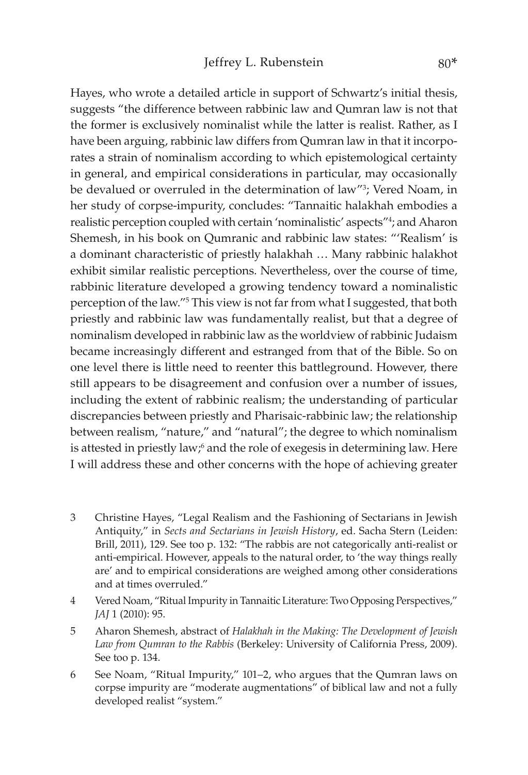Hayes, who wrote a detailed article in support of Schwartz's initial thesis, suggests "the difference between rabbinic law and Qumran law is not that the former is exclusively nominalist while the latter is realist. Rather, as I have been arguing, rabbinic law differs from Qumran law in that it incorporates a strain of nominalism according to which epistemological certainty in general, and empirical considerations in particular, may occasionally be devalued or overruled in the determination of law"3 ; Vered Noam, in her study of corpse-impurity, concludes: "Tannaitic halakhah embodies a realistic perception coupled with certain 'nominalistic' aspects"4 ; and Aharon Shemesh, in his book on Qumranic and rabbinic law states: "'Realism' is a dominant characteristic of priestly halakhah … Many rabbinic halakhot exhibit similar realistic perceptions. Nevertheless, over the course of time, rabbinic literature developed a growing tendency toward a nominalistic perception of the law."5 This view is not far from what I suggested, that both priestly and rabbinic law was fundamentally realist, but that a degree of nominalism developed in rabbinic law as the worldview of rabbinic Judaism became increasingly different and estranged from that of the Bible. So on one level there is little need to reenter this battleground. However, there still appears to be disagreement and confusion over a number of issues, including the extent of rabbinic realism; the understanding of particular discrepancies between priestly and Pharisaic-rabbinic law; the relationship between realism, "nature," and "natural"; the degree to which nominalism is attested in priestly law;<sup>6</sup> and the role of exegesis in determining law. Here I will address these and other concerns with the hope of achieving greater

- 3 Christine Hayes, "Legal Realism and the Fashioning of Sectarians in Jewish Antiquity," in *Sects and Sectarians in Jewish History*, ed. Sacha Stern (Leiden: Brill, 2011), 129. See too p. 132: "The rabbis are not categorically anti-realist or anti-empirical. However, appeals to the natural order, to 'the way things really are' and to empirical considerations are weighed among other considerations and at times overruled."
- 4 Vered Noam, "Ritual Impurity in Tannaitic Literature: Two Opposing Perspectives," *JAJ* 1 (2010): 95.
- 5 Aharon Shemesh, abstract of *Halakhah in the Making: The Development of Jewish Law from Qumran to the Rabbis* (Berkeley: University of California Press, 2009). See too p. 134.
- 6 See Noam, "Ritual Impurity," 101–2, who argues that the Qumran laws on corpse impurity are "moderate augmentations" of biblical law and not a fully developed realist "system."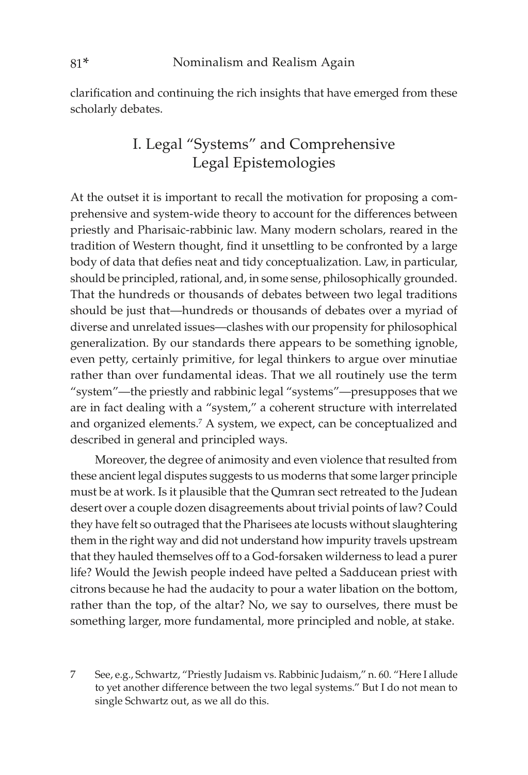clarification and continuing the rich insights that have emerged from these scholarly debates.

## I. Legal "Systems" and Comprehensive Legal Epistemologies

At the outset it is important to recall the motivation for proposing a comprehensive and system-wide theory to account for the differences between priestly and Pharisaic-rabbinic law. Many modern scholars, reared in the tradition of Western thought, find it unsettling to be confronted by a large body of data that defies neat and tidy conceptualization. Law, in particular, should be principled, rational, and, in some sense, philosophically grounded. That the hundreds or thousands of debates between two legal traditions should be just that—hundreds or thousands of debates over a myriad of diverse and unrelated issues—clashes with our propensity for philosophical generalization. By our standards there appears to be something ignoble, even petty, certainly primitive, for legal thinkers to argue over minutiae rather than over fundamental ideas. That we all routinely use the term "system"—the priestly and rabbinic legal "systems"—presupposes that we are in fact dealing with a "system," a coherent structure with interrelated and organized elements.<sup>7</sup> A system, we expect, can be conceptualized and described in general and principled ways.

Moreover, the degree of animosity and even violence that resulted from these ancient legal disputes suggests to us moderns that some larger principle must be at work. Is it plausible that the Qumran sect retreated to the Judean desert over a couple dozen disagreements about trivial points of law? Could they have felt so outraged that the Pharisees ate locusts without slaughtering them in the right way and did not understand how impurity travels upstream that they hauled themselves off to a God-forsaken wilderness to lead a purer life? Would the Jewish people indeed have pelted a Sadducean priest with citrons because he had the audacity to pour a water libation on the bottom, rather than the top, of the altar? No, we say to ourselves, there must be something larger, more fundamental, more principled and noble, at stake.

7 See, e.g., Schwartz, "Priestly Judaism vs. Rabbinic Judaism," n. 60. "Here I allude to yet another difference between the two legal systems." But I do not mean to single Schwartz out, as we all do this.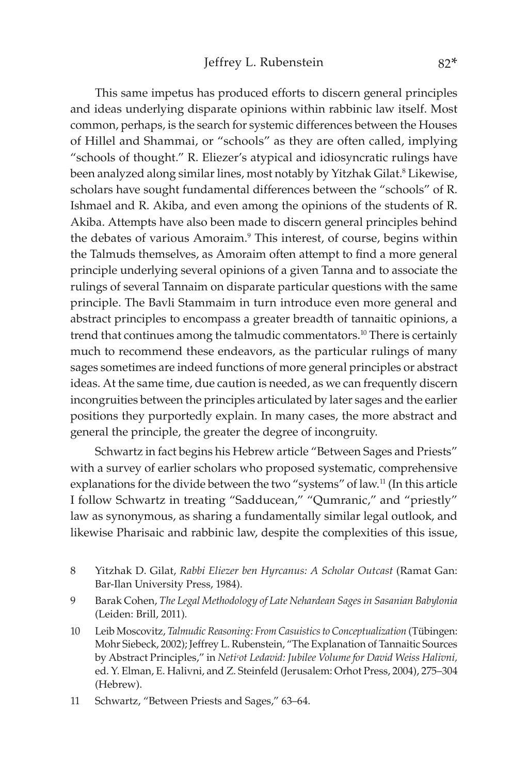This same impetus has produced efforts to discern general principles and ideas underlying disparate opinions within rabbinic law itself. Most common, perhaps, is the search for systemic differences between the Houses of Hillel and Shammai, or "schools" as they are often called, implying "schools of thought." R. Eliezer's atypical and idiosyncratic rulings have been analyzed along similar lines, most notably by Yitzhak Gilat.<sup>8</sup> Likewise, scholars have sought fundamental differences between the "schools" of R. Ishmael and R. Akiba, and even among the opinions of the students of R. Akiba. Attempts have also been made to discern general principles behind the debates of various Amoraim.<sup>9</sup> This interest, of course, begins within the Talmuds themselves, as Amoraim often attempt to find a more general principle underlying several opinions of a given Tanna and to associate the rulings of several Tannaim on disparate particular questions with the same principle. The Bavli Stammaim in turn introduce even more general and abstract principles to encompass a greater breadth of tannaitic opinions, a trend that continues among the talmudic commentators.<sup>10</sup> There is certainly much to recommend these endeavors, as the particular rulings of many sages sometimes are indeed functions of more general principles or abstract ideas. At the same time, due caution is needed, as we can frequently discern incongruities between the principles articulated by later sages and the earlier positions they purportedly explain. In many cases, the more abstract and general the principle, the greater the degree of incongruity.

Schwartz in fact begins his Hebrew article "Between Sages and Priests" with a survey of earlier scholars who proposed systematic, comprehensive explanations for the divide between the two "systems" of law.<sup>11</sup> (In this article I follow Schwartz in treating "Sadducean," "Qumranic," and "priestly" law as synonymous, as sharing a fundamentally similar legal outlook, and likewise Pharisaic and rabbinic law, despite the complexities of this issue,

- 8 Yitzhak D. Gilat, *Rabbi Eliezer ben Hyrcanus: A Scholar Outcast* (Ramat Gan: Bar-Ilan University Press, 1984).
- 9 Barak Cohen, *The Legal Methodology of Late Nehardean Sages in Sasanian Babylonia* (Leiden: Brill, 2011)*.*
- 10 Leib Moscovitz, *Talmudic Reasoning: From Casuistics to Conceptualization* (Tübingen: Mohr Siebeck, 2002); Jeffrey L. Rubenstein, "The Explanation of Tannaitic Sources by Abstract Principles," in *Netiᶜot Ledavid: Jubilee Volume for David Weiss Halivni,* ed. Y. Elman, E. Halivni, and Z. Steinfeld (Jerusalem: Orhot Press, 2004), 275–304 (Hebrew).

<sup>11</sup> Schwartz, "Between Priests and Sages," 63–64.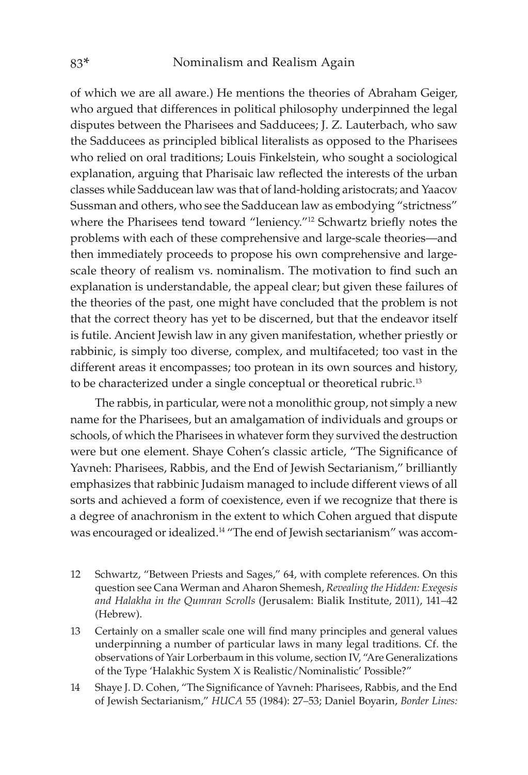of which we are all aware.) He mentions the theories of Abraham Geiger, who argued that differences in political philosophy underpinned the legal disputes between the Pharisees and Sadducees; J. Z. Lauterbach, who saw the Sadducees as principled biblical literalists as opposed to the Pharisees who relied on oral traditions; Louis Finkelstein, who sought a sociological explanation, arguing that Pharisaic law reflected the interests of the urban classes while Sadducean law was that of land-holding aristocrats; and Yaacov Sussman and others, who see the Sadducean law as embodying "strictness" where the Pharisees tend toward "leniency."12 Schwartz briefly notes the problems with each of these comprehensive and large-scale theories—and then immediately proceeds to propose his own comprehensive and largescale theory of realism vs. nominalism. The motivation to find such an explanation is understandable, the appeal clear; but given these failures of the theories of the past, one might have concluded that the problem is not that the correct theory has yet to be discerned, but that the endeavor itself is futile. Ancient Jewish law in any given manifestation, whether priestly or rabbinic, is simply too diverse, complex, and multifaceted; too vast in the different areas it encompasses; too protean in its own sources and history, to be characterized under a single conceptual or theoretical rubric.<sup>13</sup>

The rabbis, in particular, were not a monolithic group, not simply a new name for the Pharisees, but an amalgamation of individuals and groups or schools, of which the Pharisees in whatever form they survived the destruction were but one element. Shaye Cohen's classic article, "The Significance of Yavneh: Pharisees, Rabbis, and the End of Jewish Sectarianism," brilliantly emphasizes that rabbinic Judaism managed to include different views of all sorts and achieved a form of coexistence, even if we recognize that there is a degree of anachronism in the extent to which Cohen argued that dispute was encouraged or idealized.<sup>14</sup> "The end of Jewish sectarianism" was accom-

- 12 Schwartz, "Between Priests and Sages," 64, with complete references. On this question see Cana Werman and Aharon Shemesh, *Revealing the Hidden: Exegesis and Halakha in the Qumran Scrolls* (Jerusalem: Bialik Institute, 2011), 141–42 (Hebrew).
- 13 Certainly on a smaller scale one will find many principles and general values underpinning a number of particular laws in many legal traditions. Cf. the observations of Yair Lorberbaum in this volume, section IV, "Are Generalizations of the Type 'Halakhic System X is Realistic/Nominalistic' Possible?"
- 14 Shaye J. D. Cohen, "The Significance of Yavneh: Pharisees, Rabbis, and the End of Jewish Sectarianism," *HUCA* 55 (1984): 27–53; Daniel Boyarin, *Border Lines:*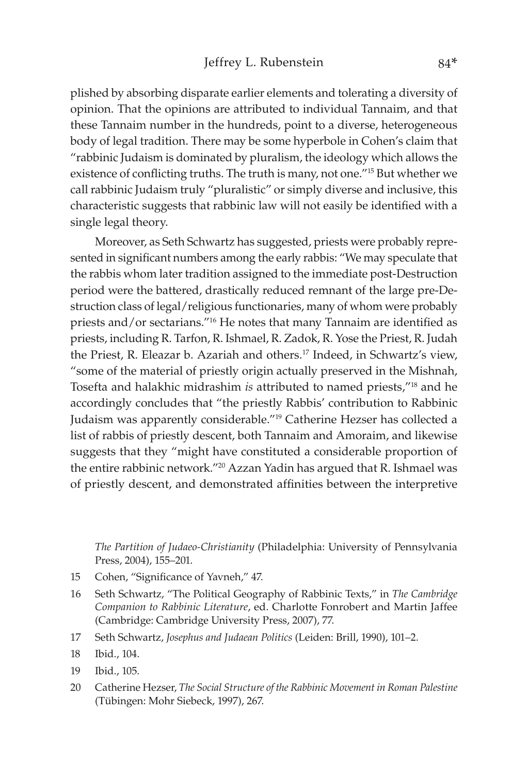plished by absorbing disparate earlier elements and tolerating a diversity of opinion. That the opinions are attributed to individual Tannaim, and that these Tannaim number in the hundreds, point to a diverse, heterogeneous body of legal tradition. There may be some hyperbole in Cohen's claim that "rabbinic Judaism is dominated by pluralism, the ideology which allows the existence of conflicting truths. The truth is many, not one."15 But whether we call rabbinic Judaism truly "pluralistic" or simply diverse and inclusive, this characteristic suggests that rabbinic law will not easily be identified with a single legal theory.

Moreover, as Seth Schwartz has suggested, priests were probably represented in significant numbers among the early rabbis: "We may speculate that the rabbis whom later tradition assigned to the immediate post-Destruction period were the battered, drastically reduced remnant of the large pre-Destruction class of legal/religious functionaries, many of whom were probably priests and/or sectarians."16 He notes that many Tannaim are identified as priests, including R. Tarfon, R. Ishmael, R. Zadok, R. Yose the Priest, R. Judah the Priest, R. Eleazar b. Azariah and others.17 Indeed, in Schwartz's view, "some of the material of priestly origin actually preserved in the Mishnah, Tosefta and halakhic midrashim *is* attributed to named priests,"18 and he accordingly concludes that "the priestly Rabbis' contribution to Rabbinic Judaism was apparently considerable."19 Catherine Hezser has collected a list of rabbis of priestly descent, both Tannaim and Amoraim, and likewise suggests that they "might have constituted a considerable proportion of the entire rabbinic network."20 Azzan Yadin has argued that R. Ishmael was of priestly descent, and demonstrated affinities between the interpretive

*The Partition of Judaeo-Christianity* (Philadelphia: University of Pennsylvania Press, 2004), 155–201.

- 15 Cohen, "Significance of Yavneh," 47.
- 16 Seth Schwartz, "The Political Geography of Rabbinic Texts," in *The Cambridge Companion to Rabbinic Literature*, ed. Charlotte Fonrobert and Martin Jaffee (Cambridge: Cambridge University Press, 2007), 77.
- 17 Seth Schwartz, *Josephus and Judaean Politics* (Leiden: Brill, 1990), 101–2.
- 18 Ibid., 104.
- 19 Ibid., 105.
- 20 Catherine Hezser, *The Social Structure of the Rabbinic Movement in Roman Palestine* (Tübingen: Mohr Siebeck, 1997), 267.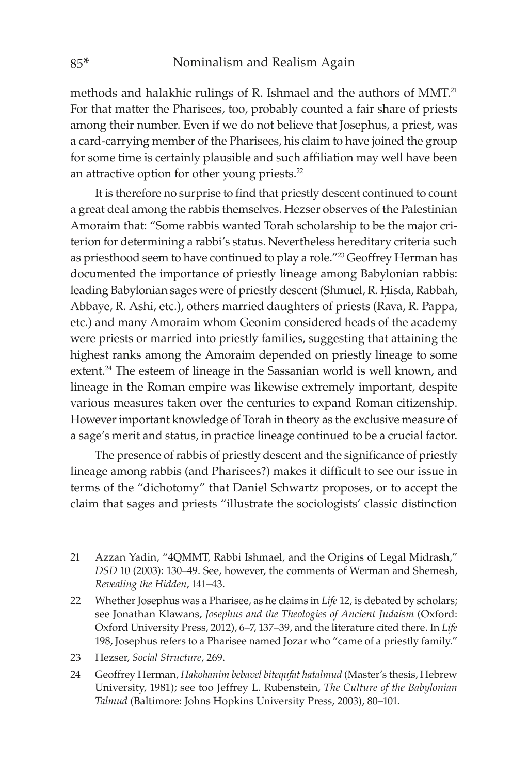methods and halakhic rulings of R. Ishmael and the authors of MMT.<sup>21</sup> For that matter the Pharisees, too, probably counted a fair share of priests among their number. Even if we do not believe that Josephus, a priest, was a card-carrying member of the Pharisees, his claim to have joined the group for some time is certainly plausible and such affiliation may well have been an attractive option for other young priests.<sup>22</sup>

It is therefore no surprise to find that priestly descent continued to count a great deal among the rabbis themselves. Hezser observes of the Palestinian Amoraim that: "Some rabbis wanted Torah scholarship to be the major criterion for determining a rabbi's status. Nevertheless hereditary criteria such as priesthood seem to have continued to play a role."<sup>23</sup> Geoffrey Herman has documented the importance of priestly lineage among Babylonian rabbis: leading Babylonian sages were of priestly descent (Shmuel, R. Hisda, Rabbah, Abbaye, R. Ashi, etc.), others married daughters of priests (Rava, R. Pappa, etc.) and many Amoraim whom Geonim considered heads of the academy were priests or married into priestly families, suggesting that attaining the highest ranks among the Amoraim depended on priestly lineage to some extent.<sup>24</sup> The esteem of lineage in the Sassanian world is well known, and lineage in the Roman empire was likewise extremely important, despite various measures taken over the centuries to expand Roman citizenship. However important knowledge of Torah in theory as the exclusive measure of a sage's merit and status, in practice lineage continued to be a crucial factor.

The presence of rabbis of priestly descent and the significance of priestly lineage among rabbis (and Pharisees?) makes it difficult to see our issue in terms of the "dichotomy" that Daniel Schwartz proposes, or to accept the claim that sages and priests "illustrate the sociologists' classic distinction

- 21 Azzan Yadin, "4QMMT, Rabbi Ishmael, and the Origins of Legal Midrash," *DSD* 10 (2003): 130–49. See, however, the comments of Werman and Shemesh, *Revealing the Hidden*, 141–43.
- 22 Whether Josephus was a Pharisee, as he claims in *Life* 12*,* is debated by scholars; see Jonathan Klawans, *Josephus and the Theologies of Ancient Judaism* (Oxford: Oxford University Press, 2012), 6–7, 137–39, and the literature cited there. In *Life* 198, Josephus refers to a Pharisee named Jozar who "came of a priestly family."
- 23 Hezser, *Social Structure*, 269.
- 24 Geoffrey Herman, *Hakohanim bebavel bitequfat hatalmud* (Master's thesis, Hebrew University, 1981); see too Jeffrey L. Rubenstein, *The Culture of the Babylonian Talmud* (Baltimore: Johns Hopkins University Press, 2003), 80–101.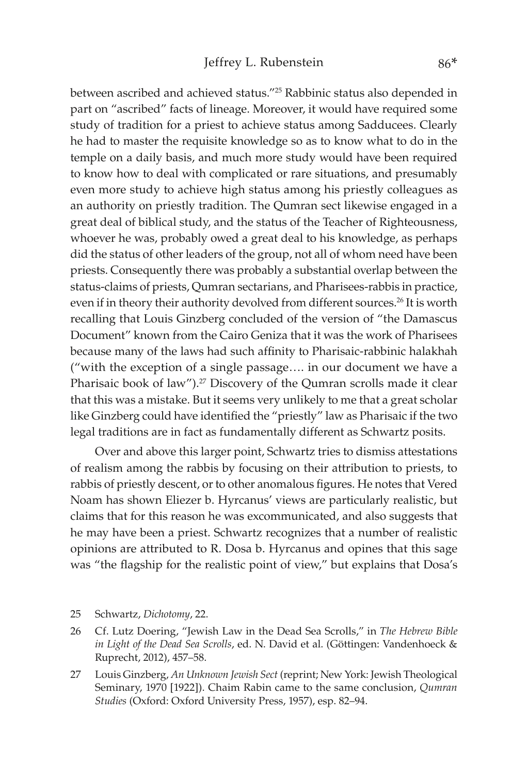between ascribed and achieved status."25 Rabbinic status also depended in part on "ascribed" facts of lineage. Moreover, it would have required some study of tradition for a priest to achieve status among Sadducees. Clearly he had to master the requisite knowledge so as to know what to do in the temple on a daily basis, and much more study would have been required to know how to deal with complicated or rare situations, and presumably even more study to achieve high status among his priestly colleagues as an authority on priestly tradition. The Qumran sect likewise engaged in a great deal of biblical study, and the status of the Teacher of Righteousness, whoever he was, probably owed a great deal to his knowledge, as perhaps did the status of other leaders of the group, not all of whom need have been priests. Consequently there was probably a substantial overlap between the status-claims of priests, Qumran sectarians, and Pharisees-rabbis in practice, even if in theory their authority devolved from different sources.<sup>26</sup> It is worth recalling that Louis Ginzberg concluded of the version of "the Damascus Document" known from the Cairo Geniza that it was the work of Pharisees because many of the laws had such affinity to Pharisaic-rabbinic halakhah ("with the exception of a single passage…. in our document we have a Pharisaic book of law").<sup>27</sup> Discovery of the Qumran scrolls made it clear that this was a mistake. But it seems very unlikely to me that a great scholar like Ginzberg could have identified the "priestly" law as Pharisaic if the two legal traditions are in fact as fundamentally different as Schwartz posits.

Over and above this larger point, Schwartz tries to dismiss attestations of realism among the rabbis by focusing on their attribution to priests, to rabbis of priestly descent, or to other anomalous figures. He notes that Vered Noam has shown Eliezer b. Hyrcanus' views are particularly realistic, but claims that for this reason he was excommunicated, and also suggests that he may have been a priest. Schwartz recognizes that a number of realistic opinions are attributed to R. Dosa b. Hyrcanus and opines that this sage was "the flagship for the realistic point of view," but explains that Dosa's

<sup>25</sup> Schwartz, *Dichotomy*, 22.

<sup>26</sup> Cf. Lutz Doering, "Jewish Law in the Dead Sea Scrolls," in *The Hebrew Bible in Light of the Dead Sea Scrolls*, ed. N. David et al. (Göttingen: Vandenhoeck & Ruprecht, 2012), 457–58.

<sup>27</sup> Louis Ginzberg, *An Unknown Jewish Sect* (reprint; New York: Jewish Theological Seminary, 1970 [1922]). Chaim Rabin came to the same conclusion, *Qumran Studies* (Oxford: Oxford University Press, 1957), esp. 82–94.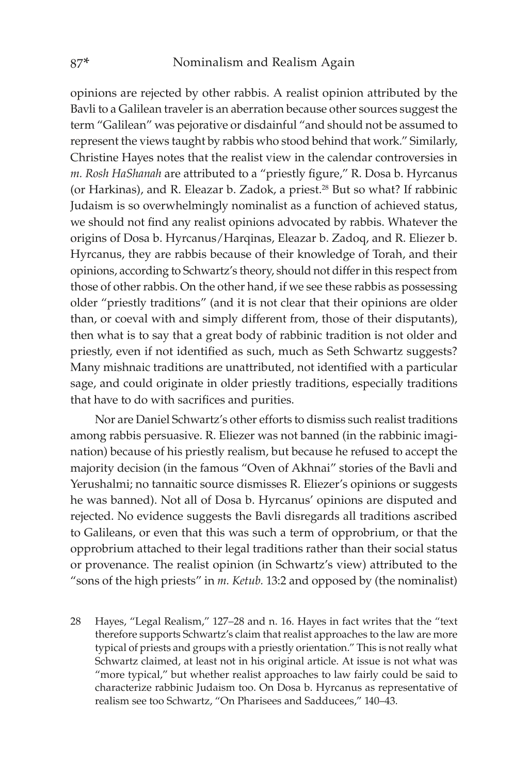opinions are rejected by other rabbis. A realist opinion attributed by the Bavli to a Galilean traveler is an aberration because other sources suggest the term "Galilean" was pejorative or disdainful "and should not be assumed to represent the views taught by rabbis who stood behind that work." Similarly, Christine Hayes notes that the realist view in the calendar controversies in *m. Rosh HaShanah* are attributed to a "priestly figure," R. Dosa b. Hyrcanus (or Harkinas), and R. Eleazar b. Zadok, a priest.<sup>28</sup> But so what? If rabbinic Judaism is so overwhelmingly nominalist as a function of achieved status, we should not find any realist opinions advocated by rabbis. Whatever the origins of Dosa b. Hyrcanus/Harqinas, Eleazar b. Zadoq, and R. Eliezer b. Hyrcanus, they are rabbis because of their knowledge of Torah, and their opinions, according to Schwartz's theory, should not differ in this respect from those of other rabbis. On the other hand, if we see these rabbis as possessing older "priestly traditions" (and it is not clear that their opinions are older than, or coeval with and simply different from, those of their disputants), then what is to say that a great body of rabbinic tradition is not older and priestly, even if not identified as such, much as Seth Schwartz suggests? Many mishnaic traditions are unattributed, not identified with a particular sage, and could originate in older priestly traditions, especially traditions that have to do with sacrifices and purities.

Nor are Daniel Schwartz's other efforts to dismiss such realist traditions among rabbis persuasive. R. Eliezer was not banned (in the rabbinic imagination) because of his priestly realism, but because he refused to accept the majority decision (in the famous "Oven of Akhnai" stories of the Bavli and Yerushalmi; no tannaitic source dismisses R. Eliezer's opinions or suggests he was banned). Not all of Dosa b. Hyrcanus' opinions are disputed and rejected. No evidence suggests the Bavli disregards all traditions ascribed to Galileans, or even that this was such a term of opprobrium, or that the opprobrium attached to their legal traditions rather than their social status or provenance. The realist opinion (in Schwartz's view) attributed to the "sons of the high priests" in *m. Ketub.* 13:2 and opposed by (the nominalist)

28 Hayes, "Legal Realism," 127–28 and n. 16. Hayes in fact writes that the "text therefore supports Schwartz's claim that realist approaches to the law are more typical of priests and groups with a priestly orientation." This is not really what Schwartz claimed, at least not in his original article. At issue is not what was "more typical," but whether realist approaches to law fairly could be said to characterize rabbinic Judaism too. On Dosa b. Hyrcanus as representative of realism see too Schwartz, "On Pharisees and Sadducees," 140–43.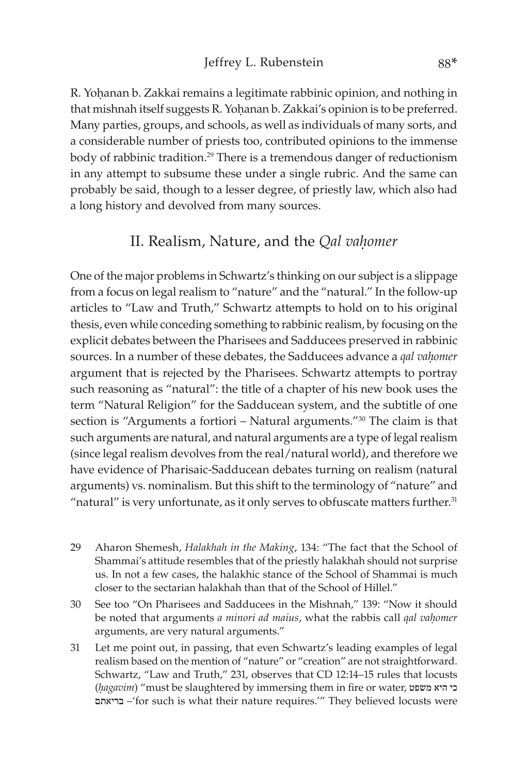R. Yohanan b. Zakkai remains a legitimate rabbinic opinion, and nothing in that mishnah itself suggests R. Yohanan b. Zakkai's opinion is to be preferred. Many parties, groups, and schools, as well as individuals of many sorts, and a considerable number of priests too, contributed opinions to the immense body of rabbinic tradition.<sup>29</sup> There is a tremendous danger of reductionism in any attempt to subsume these under a single rubric. And the same can probably be said, though to a lesser degree, of priestly law, which also had a long history and devolved from many sources.

### II. Realism, Nature, and the *Qal vahomer*

One of the major problems in Schwartz's thinking on our subject is a slippage from a focus on legal realism to "nature" and the "natural." In the follow-up articles to "Law and Truth," Schwartz attempts to hold on to his original thesis, even while conceding something to rabbinic realism, by focusing on the explicit debates between the Pharisees and Sadducees preserved in rabbinic sources. In a number of these debates, the Sadducees advance a *qal vahomer* argument that is rejected by the Pharisees. Schwartz attempts to portray such reasoning as "natural": the title of a chapter of his new book uses the term "Natural Religion" for the Sadducean system, and the subtitle of one section is "Arguments a fortiori – Natural arguments."30 The claim is that such arguments are natural, and natural arguments are a type of legal realism (since legal realism devolves from the real/natural world), and therefore we have evidence of Pharisaic-Sadducean debates turning on realism (natural arguments) vs. nominalism. But this shift to the terminology of "nature" and "natural" is very unfortunate, as it only serves to obfuscate matters further. $31$ 

- 29 Aharon Shemesh, *Halakhah in the Making*, 134: "The fact that the School of Shammai's attitude resembles that of the priestly halakhah should not surprise us. In not a few cases, the halakhic stance of the School of Shammai is much closer to the sectarian halakhah than that of the School of Hillel."
- 30 See too "On Pharisees and Sadducees in the Mishnah," 139: "Now it should be noted that arguments *a minori ad maius*, what the rabbis call *qal vahomer* arguments, are very natural arguments."
- 31 Let me point out, in passing, that even Schwartz's leading examples of legal realism based on the mention of "nature" or "creation" are not straightforward. Schwartz, "Law and Truth," 231, observes that CD 12:14–15 rules that locusts (*êagavim*) "must be slaughtered by immersing them in fire or water, משפט היא כי בריאתם'– for such is what their nature requires.'" They believed locusts were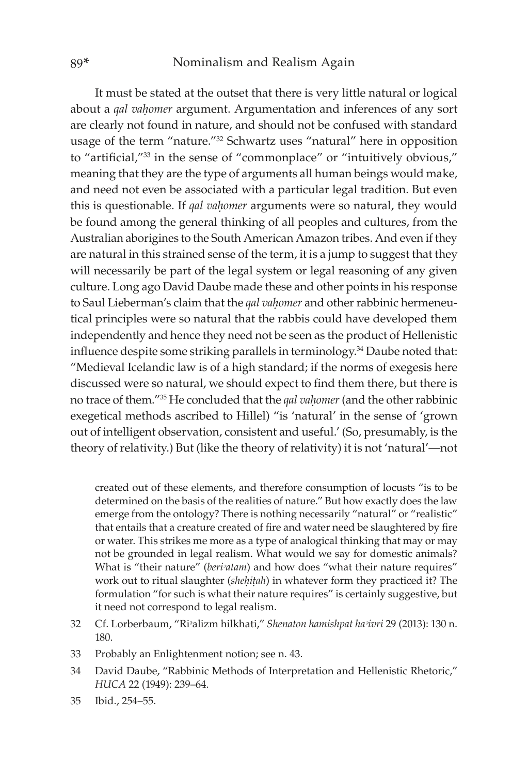It must be stated at the outset that there is very little natural or logical about a *qal vahomer* argument. Argumentation and inferences of any sort are clearly not found in nature, and should not be confused with standard usage of the term "nature."32 Schwartz uses "natural" here in opposition to "artificial,"33 in the sense of "commonplace" or "intuitively obvious," meaning that they are the type of arguments all human beings would make, and need not even be associated with a particular legal tradition. But even this is questionable. If *qal vahomer* arguments were so natural, they would be found among the general thinking of all peoples and cultures, from the Australian aborigines to the South American Amazon tribes. And even if they are natural in this strained sense of the term, it is a jump to suggest that they will necessarily be part of the legal system or legal reasoning of any given culture. Long ago David Daube made these and other points in his response to Saul Lieberman's claim that the *qal vahomer* and other rabbinic hermeneutical principles were so natural that the rabbis could have developed them independently and hence they need not be seen as the product of Hellenistic influence despite some striking parallels in terminology.34 Daube noted that: "Medieval Icelandic law is of a high standard; if the norms of exegesis here discussed were so natural, we should expect to find them there, but there is no trace of them."<sup>35</sup> He concluded that the *qal vahomer* (and the other rabbinic exegetical methods ascribed to Hillel) "is 'natural' in the sense of 'grown out of intelligent observation, consistent and useful.' (So, presumably, is the theory of relativity.) But (like the theory of relativity) it is not 'natural'—not

created out of these elements, and therefore consumption of locusts "is to be determined on the basis of the realities of nature." But how exactly does the law emerge from the ontology? There is nothing necessarily "natural" or "realistic" that entails that a creature created of fire and water need be slaughtered by fire or water. This strikes me more as a type of analogical thinking that may or may not be grounded in legal realism. What would we say for domestic animals? What is "their nature" (*beri*<sup> $\alpha$ </sup>*atam*) and how does "what their nature requires" work out to ritual slaughter (*sheêiûah*) in whatever form they practiced it? The formulation "for such is what their nature requires" is certainly suggestive, but it need not correspond to legal realism.

- 32 Cf. Lorberbaum, "Ri<sup>d</sup>alizm hilkhati," Shenaton hamishpat ha<sup>2</sup>ivri 29 (2013): 130 n. 180.
- 33 Probably an Enlightenment notion; see n. 43.
- 34 David Daube, "Rabbinic Methods of Interpretation and Hellenistic Rhetoric," *HUCA* 22 (1949): 239–64.
- 35 Ibid., 254–55.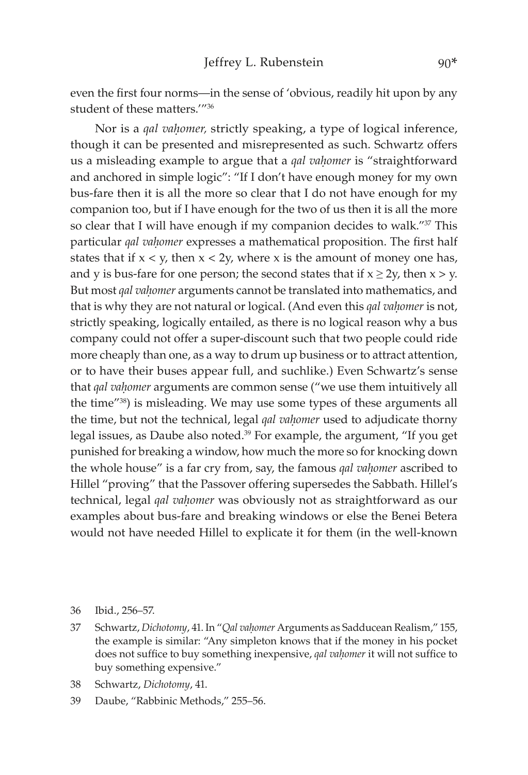even the first four norms—in the sense of 'obvious, readily hit upon by any student of these matters.'"36

Nor is a *qal vahomer*, strictly speaking, a type of logical inference, though it can be presented and misrepresented as such. Schwartz offers us a misleading example to argue that a *qal vahomer* is "straightforward and anchored in simple logic": "If I don't have enough money for my own bus-fare then it is all the more so clear that I do not have enough for my companion too, but if I have enough for the two of us then it is all the more so clear that I will have enough if my companion decides to walk."<sup>37</sup> This particular *qal vahomer* expresses a mathematical proposition. The first half states that if  $x < y$ , then  $x < 2y$ , where x is the amount of money one has, and y is bus-fare for one person; the second states that if  $x \ge 2y$ , then  $x > y$ . But most *qal vahomer* arguments cannot be translated into mathematics, and that is why they are not natural or logical. (And even this *qal vahomer* is not, strictly speaking, logically entailed, as there is no logical reason why a bus company could not offer a super-discount such that two people could ride more cheaply than one, as a way to drum up business or to attract attention, or to have their buses appear full, and suchlike.) Even Schwartz's sense that *qal vahomer* arguments are common sense ("we use them intuitively all the time"38) is misleading. We may use some types of these arguments all the time, but not the technical, legal *qal vahomer* used to adjudicate thorny legal issues, as Daube also noted.<sup>39</sup> For example, the argument, "If you get punished for breaking a window, how much the more so for knocking down the whole house" is a far cry from, say, the famous *qal vahomer* ascribed to Hillel "proving" that the Passover offering supersedes the Sabbath. Hillel's technical, legal *qal vahomer* was obviously not as straightforward as our examples about bus-fare and breaking windows or else the Benei Betera would not have needed Hillel to explicate it for them (in the well-known

- 38 Schwartz, *Dichotomy*, 41.
- 39 Daube, "Rabbinic Methods," 255–56.

<sup>36</sup> Ibid., 256–57.

<sup>37</sup> Schwartz, *Dichotomy*, 41. In "*Qal vaêomer* Arguments as Sadducean Realism," 155, the example is similar: "Any simpleton knows that if the money in his pocket does not suffice to buy something inexpensive, *qal vahomer* it will not suffice to buy something expensive."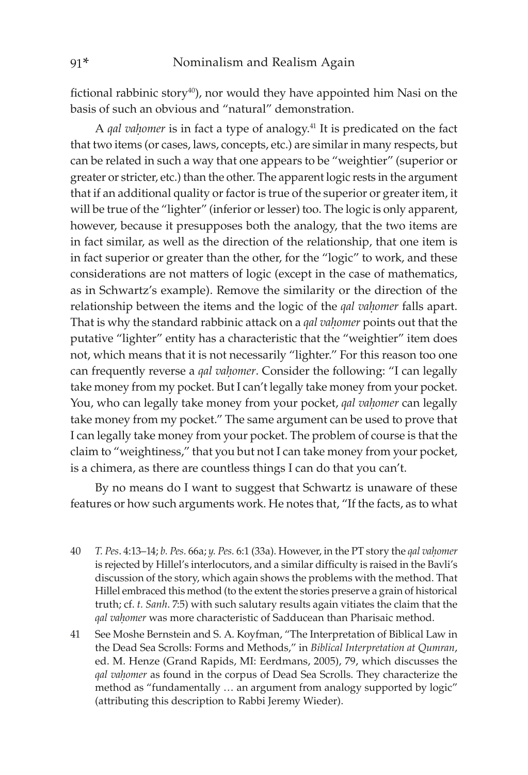fictional rabbinic story $40$ , nor would they have appointed him Nasi on the basis of such an obvious and "natural" demonstration.

A *qal vahomer* is in fact a type of analogy.<sup>41</sup> It is predicated on the fact that two items (or cases, laws, concepts, etc.) are similar in many respects, but can be related in such a way that one appears to be "weightier" (superior or greater or stricter, etc.) than the other. The apparent logic rests in the argument that if an additional quality or factor is true of the superior or greater item, it will be true of the "lighter" (inferior or lesser) too. The logic is only apparent, however, because it presupposes both the analogy, that the two items are in fact similar, as well as the direction of the relationship, that one item is in fact superior or greater than the other, for the "logic" to work, and these considerations are not matters of logic (except in the case of mathematics, as in Schwartz's example). Remove the similarity or the direction of the relationship between the items and the logic of the *qal vahomer* falls apart. That is why the standard rabbinic attack on a *qal vahomer* points out that the putative "lighter" entity has a characteristic that the "weightier" item does not, which means that it is not necessarily "lighter." For this reason too one can frequently reverse a *qal vahomer*. Consider the following: "I can legally take money from my pocket. But I can't legally take money from your pocket. You, who can legally take money from your pocket, *qal vahomer* can legally take money from my pocket." The same argument can be used to prove that I can legally take money from your pocket. The problem of course is that the claim to "weightiness," that you but not I can take money from your pocket, is a chimera, as there are countless things I can do that you can't.

By no means do I want to suggest that Schwartz is unaware of these features or how such arguments work. He notes that, "If the facts, as to what

- 40 *T. Pes*. 4:13–14; *b. Pes.* 66a; *y. Pes.* 6:1 (33a). However, in the PT story the *qal vaêomer*  is rejected by Hillel's interlocutors, and a similar difficulty is raised in the Bavli's discussion of the story, which again shows the problems with the method. That Hillel embraced this method (to the extent the stories preserve a grain of historical truth; cf. *t. Sanh*. 7:5) with such salutary results again vitiates the claim that the *qal vahomer* was more characteristic of Sadducean than Pharisaic method.
- 41 See Moshe Bernstein and S. A. Koyfman, "The Interpretation of Biblical Law in the Dead Sea Scrolls: Forms and Methods," in *Biblical Interpretation at Qumran*, ed. M. Henze (Grand Rapids, MI: Eerdmans, 2005), 79, which discusses the *qal vahomer* as found in the corpus of Dead Sea Scrolls. They characterize the method as "fundamentally … an argument from analogy supported by logic" (attributing this description to Rabbi Jeremy Wieder).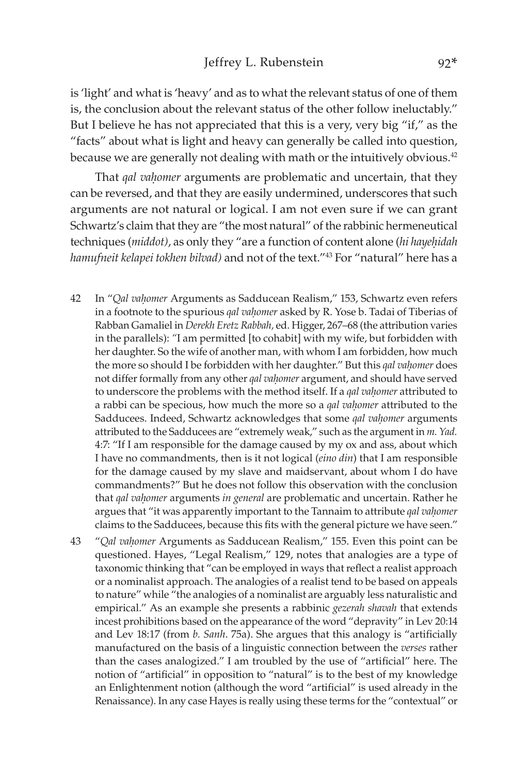is 'light' and what is 'heavy' and as to what the relevant status of one of them is, the conclusion about the relevant status of the other follow ineluctably." But I believe he has not appreciated that this is a very, very big "if," as the "facts" about what is light and heavy can generally be called into question, because we are generally not dealing with math or the intuitively obvious.<sup>42</sup>

That *qal vahomer* arguments are problematic and uncertain, that they can be reversed, and that they are easily undermined, underscores that such arguments are not natural or logical. I am not even sure if we can grant Schwartz's claim that they are "the most natural" of the rabbinic hermeneutical techniques (*middot)*, as only they "are a function of content alone (*hi hayeêidah hamufneit kelapei tokhen bilvad)* and not of the text."43 For "natural" here has a

- 42 In "*Qal vaêomer* Arguments as Sadducean Realism," 153, Schwartz even refers in a footnote to the spurious *qal vaêomer* asked by R. Yose b. Tadai of Tiberias of Rabban Gamaliel in *Derekh Eretz Rabbah,* ed. Higger, 267–68 (the attribution varies in the parallels): *"*I am permitted [to cohabit] with my wife, but forbidden with her daughter. So the wife of another man, with whom I am forbidden, how much the more so should I be forbidden with her daughter." But this *qal vahomer* does not differ formally from any other *qal vahomer* argument, and should have served to underscore the problems with the method itself. If a *qal vahomer* attributed to a rabbi can be specious, how much the more so a *qal vahomer* attributed to the Sadducees. Indeed, Schwartz acknowledges that some *qal vahomer* arguments attributed to the Sadducees are "extremely weak," such as the argument in *m. Yad.*  4:7: "If I am responsible for the damage caused by my ox and ass, about which I have no commandments, then is it not logical (*eino din*) that I am responsible for the damage caused by my slave and maidservant, about whom I do have commandments?" But he does not follow this observation with the conclusion that *qal vahomer* arguments *in general* are problematic and uncertain. Rather he argues that "it was apparently important to the Tannaim to attribute *qal vahomer* claims to the Sadducees, because this fits with the general picture we have seen."
- 43 "*Qal vaêomer* Arguments as Sadducean Realism," 155. Even this point can be questioned. Hayes, "Legal Realism," 129, notes that analogies are a type of taxonomic thinking that "can be employed in ways that reflect a realist approach or a nominalist approach. The analogies of a realist tend to be based on appeals to nature" while "the analogies of a nominalist are arguably less naturalistic and empirical." As an example she presents a rabbinic *gezerah shavah* that extends incest prohibitions based on the appearance of the word "depravity" in Lev 20:14 and Lev 18:17 (from *b. Sanh*. 75a). She argues that this analogy is "artificially manufactured on the basis of a linguistic connection between the *verses* rather than the cases analogized." I am troubled by the use of "artificial" here. The notion of "artificial" in opposition to "natural" is to the best of my knowledge an Enlightenment notion (although the word "artificial" is used already in the Renaissance). In any case Hayes is really using these terms for the "contextual" or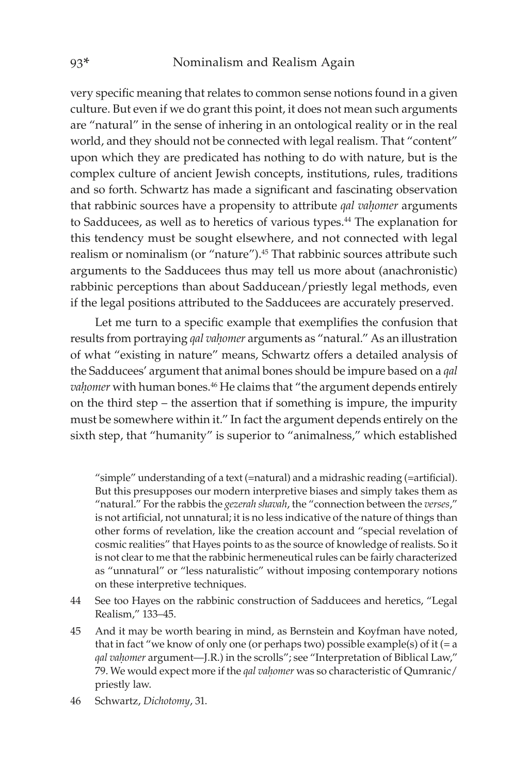very specific meaning that relates to common sense notions found in a given culture. But even if we do grant this point, it does not mean such arguments are "natural" in the sense of inhering in an ontological reality or in the real world, and they should not be connected with legal realism. That "content" upon which they are predicated has nothing to do with nature, but is the complex culture of ancient Jewish concepts, institutions, rules, traditions and so forth. Schwartz has made a significant and fascinating observation that rabbinic sources have a propensity to attribute *qal vahomer* arguments to Sadducees, as well as to heretics of various types.<sup>44</sup> The explanation for this tendency must be sought elsewhere, and not connected with legal realism or nominalism (or "nature").<sup>45</sup> That rabbinic sources attribute such arguments to the Sadducees thus may tell us more about (anachronistic) rabbinic perceptions than about Sadducean/priestly legal methods, even if the legal positions attributed to the Sadducees are accurately preserved.

Let me turn to a specific example that exemplifies the confusion that results from portraying *qal vahomer* arguments as "natural." As an illustration of what "existing in nature" means, Schwartz offers a detailed analysis of the Sadducees' argument that animal bones should be impure based on a *qal*  vahomer with human bones.<sup>46</sup> He claims that "the argument depends entirely on the third step – the assertion that if something is impure, the impurity must be somewhere within it." In fact the argument depends entirely on the sixth step, that "humanity" is superior to "animalness," which established

"simple" understanding of a text (=natural) and a midrashic reading (=artificial). But this presupposes our modern interpretive biases and simply takes them as "natural." For the rabbis the *gezerah shavah*, the "connection between the *verses*," is not artificial, not unnatural; it is no less indicative of the nature of things than other forms of revelation, like the creation account and "special revelation of cosmic realities" that Hayes points to as the source of knowledge of realists. So it is not clear to me that the rabbinic hermeneutical rules can be fairly characterized as "unnatural" or "less naturalistic" without imposing contemporary notions on these interpretive techniques.

- 44 See too Hayes on the rabbinic construction of Sadducees and heretics, "Legal Realism," 133–45.
- 45 And it may be worth bearing in mind, as Bernstein and Koyfman have noted, that in fact "we know of only one (or perhaps two) possible example(s) of it  $(= a$ qal vahomer argument-J.R.) in the scrolls"; see "Interpretation of Biblical Law," 79. We would expect more if the *qal vahomer* was so characteristic of Qumranic/ priestly law.

46 Schwartz, *Dichotomy*, 31.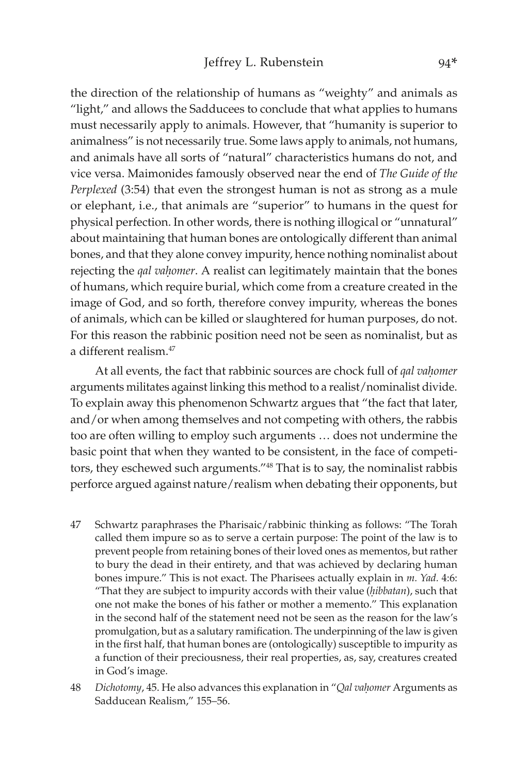the direction of the relationship of humans as "weighty" and animals as "light," and allows the Sadducees to conclude that what applies to humans must necessarily apply to animals. However, that "humanity is superior to animalness" is not necessarily true. Some laws apply to animals, not humans, and animals have all sorts of "natural" characteristics humans do not, and vice versa. Maimonides famously observed near the end of *The Guide of the Perplexed* (3:54) that even the strongest human is not as strong as a mule or elephant, i.e., that animals are "superior" to humans in the quest for physical perfection. In other words, there is nothing illogical or "unnatural" about maintaining that human bones are ontologically different than animal bones, and that they alone convey impurity, hence nothing nominalist about rejecting the *qal vahomer*. A realist can legitimately maintain that the bones of humans, which require burial, which come from a creature created in the image of God, and so forth, therefore convey impurity, whereas the bones of animals, which can be killed or slaughtered for human purposes, do not. For this reason the rabbinic position need not be seen as nominalist, but as a different realism  $47$ 

At all events, the fact that rabbinic sources are chock full of *qal vahomer* arguments militates against linking this method to a realist/nominalist divide. To explain away this phenomenon Schwartz argues that "the fact that later, and/or when among themselves and not competing with others, the rabbis too are often willing to employ such arguments … does not undermine the basic point that when they wanted to be consistent, in the face of competitors, they eschewed such arguments."48 That is to say, the nominalist rabbis perforce argued against nature/realism when debating their opponents, but

- 47 Schwartz paraphrases the Pharisaic/rabbinic thinking as follows: "The Torah called them impure so as to serve a certain purpose: The point of the law is to prevent people from retaining bones of their loved ones as mementos, but rather to bury the dead in their entirety, and that was achieved by declaring human bones impure." This is not exact. The Pharisees actually explain in *m. Yad.* 4:6: "That they are subject to impurity accords with their value (*hibbatan*), such that one not make the bones of his father or mother a memento." This explanation in the second half of the statement need not be seen as the reason for the law's promulgation, but as a salutary ramification. The underpinning of the law is given in the first half, that human bones are (ontologically) susceptible to impurity as a function of their preciousness, their real properties, as, say, creatures created in God's image.
- 48 *Dichotomy*, 45. He also advances this explanation in "*Qal vaêomer* Arguments as Sadducean Realism," 155–56.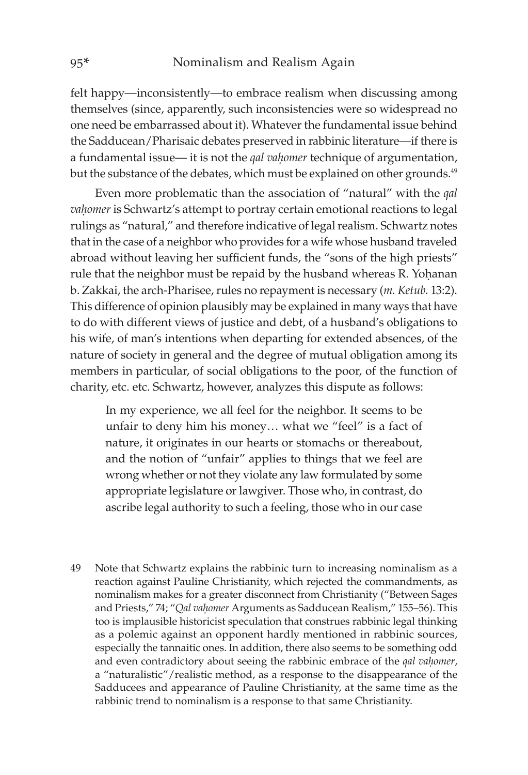felt happy—inconsistently—to embrace realism when discussing among themselves (since, apparently, such inconsistencies were so widespread no one need be embarrassed about it). Whatever the fundamental issue behind the Sadducean/Pharisaic debates preserved in rabbinic literature—if there is a fundamental issue— it is not the *qal vahomer* technique of argumentation, but the substance of the debates, which must be explained on other grounds.<sup>49</sup>

Even more problematic than the association of "natural" with the *qal vahomer* is Schwartz's attempt to portray certain emotional reactions to legal rulings as "natural," and therefore indicative of legal realism. Schwartz notes that in the case of a neighbor who provides for a wife whose husband traveled abroad without leaving her sufficient funds, the "sons of the high priests" rule that the neighbor must be repaid by the husband whereas R. Yohanan b. Zakkai, the arch-Pharisee, rules no repayment is necessary (*m. Ketub.* 13:2). This difference of opinion plausibly may be explained in many ways that have to do with different views of justice and debt, of a husband's obligations to his wife, of man's intentions when departing for extended absences, of the nature of society in general and the degree of mutual obligation among its members in particular, of social obligations to the poor, of the function of charity, etc. etc. Schwartz, however, analyzes this dispute as follows:

In my experience, we all feel for the neighbor. It seems to be unfair to deny him his money… what we "feel" is a fact of nature, it originates in our hearts or stomachs or thereabout, and the notion of "unfair" applies to things that we feel are wrong whether or not they violate any law formulated by some appropriate legislature or lawgiver. Those who, in contrast, do ascribe legal authority to such a feeling, those who in our case

49 Note that Schwartz explains the rabbinic turn to increasing nominalism as a reaction against Pauline Christianity, which rejected the commandments, as nominalism makes for a greater disconnect from Christianity ("Between Sages and Priests," 74; "Qal vahomer Arguments as Sadducean Realism," 155-56). This too is implausible historicist speculation that construes rabbinic legal thinking as a polemic against an opponent hardly mentioned in rabbinic sources, especially the tannaitic ones. In addition, there also seems to be something odd and even contradictory about seeing the rabbinic embrace of the *qal vahomer*, a "naturalistic"/realistic method, as a response to the disappearance of the Sadducees and appearance of Pauline Christianity, at the same time as the rabbinic trend to nominalism is a response to that same Christianity.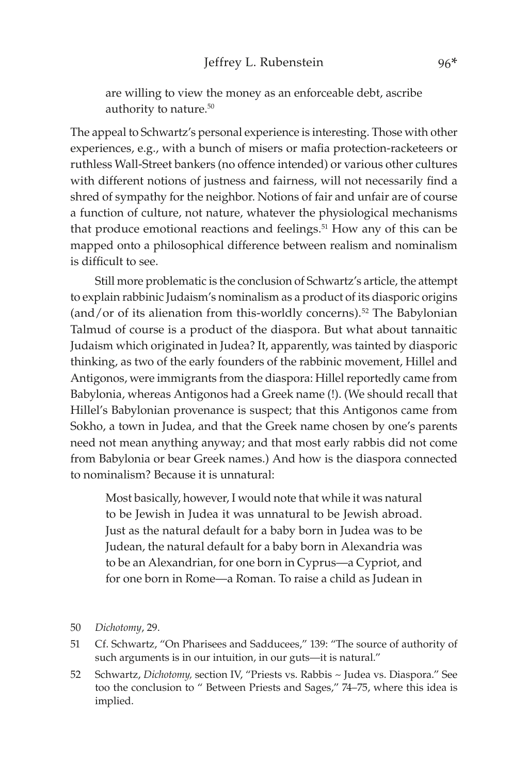are willing to view the money as an enforceable debt, ascribe authority to nature.50

The appeal to Schwartz's personal experience is interesting. Those with other experiences, e.g., with a bunch of misers or mafia protection-racketeers or ruthless Wall-Street bankers (no offence intended) or various other cultures with different notions of justness and fairness, will not necessarily find a shred of sympathy for the neighbor. Notions of fair and unfair are of course a function of culture, not nature, whatever the physiological mechanisms that produce emotional reactions and feelings.<sup>51</sup> How any of this can be mapped onto a philosophical difference between realism and nominalism is difficult to see.

Still more problematic is the conclusion of Schwartz's article, the attempt to explain rabbinic Judaism's nominalism as a product of its diasporic origins (and/or of its alienation from this-worldly concerns).<sup>52</sup> The Babylonian Talmud of course is a product of the diaspora. But what about tannaitic Judaism which originated in Judea? It, apparently, was tainted by diasporic thinking, as two of the early founders of the rabbinic movement, Hillel and Antigonos, were immigrants from the diaspora: Hillel reportedly came from Babylonia, whereas Antigonos had a Greek name (!). (We should recall that Hillel's Babylonian provenance is suspect; that this Antigonos came from Sokho, a town in Judea, and that the Greek name chosen by one's parents need not mean anything anyway; and that most early rabbis did not come from Babylonia or bear Greek names.) And how is the diaspora connected to nominalism? Because it is unnatural:

Most basically, however, I would note that while it was natural to be Jewish in Judea it was unnatural to be Jewish abroad. Just as the natural default for a baby born in Judea was to be Judean, the natural default for a baby born in Alexandria was to be an Alexandrian, for one born in Cyprus—a Cypriot, and for one born in Rome—a Roman. To raise a child as Judean in

50 *Dichotomy*, 29.

51 Cf. Schwartz, "On Pharisees and Sadducees," 139: "The source of authority of such arguments is in our intuition, in our guts—it is natural."

52 Schwartz, *Dichotomy,* section IV, "Priests vs. Rabbis ~ Judea vs. Diaspora." See too the conclusion to " Between Priests and Sages," 74–75, where this idea is implied.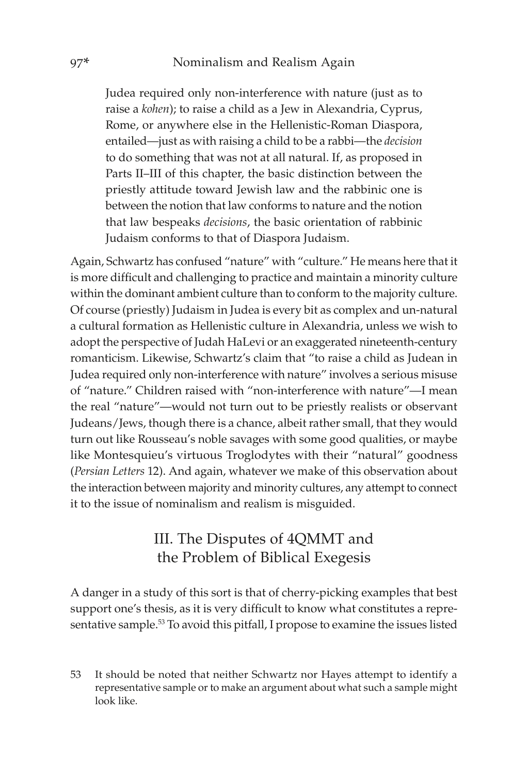Judea required only non-interference with nature (just as to raise a *kohen*); to raise a child as a Jew in Alexandria, Cyprus, Rome, or anywhere else in the Hellenistic-Roman Diaspora, entailed—just as with raising a child to be a rabbi—the *decision* to do something that was not at all natural. If, as proposed in Parts II–III of this chapter, the basic distinction between the priestly attitude toward Jewish law and the rabbinic one is between the notion that law conforms to nature and the notion that law bespeaks *decisions*, the basic orientation of rabbinic Judaism conforms to that of Diaspora Judaism.

Again, Schwartz has confused "nature" with "culture." He means here that it is more difficult and challenging to practice and maintain a minority culture within the dominant ambient culture than to conform to the majority culture. Of course (priestly) Judaism in Judea is every bit as complex and un-natural a cultural formation as Hellenistic culture in Alexandria, unless we wish to adopt the perspective of Judah HaLevi or an exaggerated nineteenth-century romanticism. Likewise, Schwartz's claim that "to raise a child as Judean in Judea required only non-interference with nature" involves a serious misuse of "nature." Children raised with "non-interference with nature"—I mean the real "nature"—would not turn out to be priestly realists or observant Judeans/Jews, though there is a chance, albeit rather small, that they would turn out like Rousseau's noble savages with some good qualities, or maybe like Montesquieu's virtuous Troglodytes with their "natural" goodness (*Persian Letters* 12). And again, whatever we make of this observation about the interaction between majority and minority cultures, any attempt to connect it to the issue of nominalism and realism is misguided.

## III. The Disputes of 4QMMT and the Problem of Biblical Exegesis

A danger in a study of this sort is that of cherry-picking examples that best support one's thesis, as it is very difficult to know what constitutes a representative sample.<sup>53</sup> To avoid this pitfall, I propose to examine the issues listed

<sup>53</sup> It should be noted that neither Schwartz nor Hayes attempt to identify a representative sample or to make an argument about what such a sample might look like.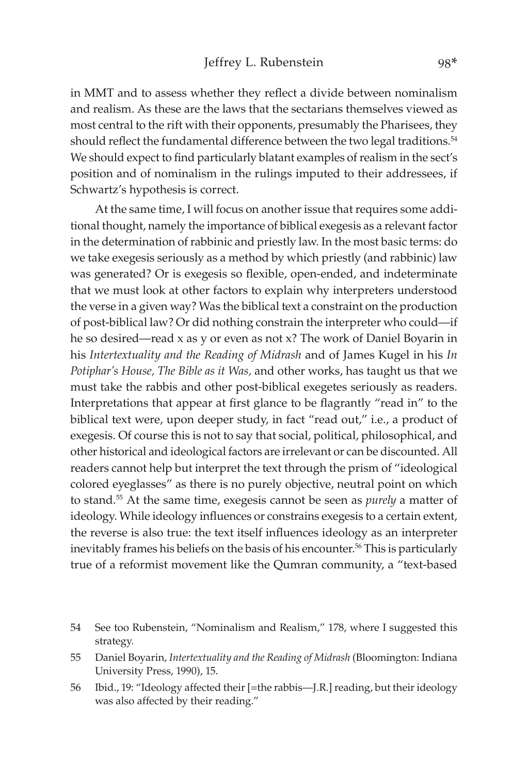in MMT and to assess whether they reflect a divide between nominalism and realism. As these are the laws that the sectarians themselves viewed as most central to the rift with their opponents, presumably the Pharisees, they should reflect the fundamental difference between the two legal traditions.<sup>54</sup> We should expect to find particularly blatant examples of realism in the sect's position and of nominalism in the rulings imputed to their addressees, if Schwartz's hypothesis is correct.

At the same time, I will focus on another issue that requires some additional thought, namely the importance of biblical exegesis as a relevant factor in the determination of rabbinic and priestly law. In the most basic terms: do we take exegesis seriously as a method by which priestly (and rabbinic) law was generated? Or is exegesis so flexible, open-ended, and indeterminate that we must look at other factors to explain why interpreters understood the verse in a given way? Was the biblical text a constraint on the production of post-biblical law? Or did nothing constrain the interpreter who could—if he so desired—read x as y or even as not x? The work of Daniel Boyarin in his *Intertextuality and the Reading of Midrash* and of James Kugel in his *In Potiphar's House, The Bible as it Was,* and other works, has taught us that we must take the rabbis and other post-biblical exegetes seriously as readers. Interpretations that appear at first glance to be flagrantly "read in" to the biblical text were, upon deeper study, in fact "read out," i.e., a product of exegesis. Of course this is not to say that social, political, philosophical, and other historical and ideological factors are irrelevant or can be discounted. All readers cannot help but interpret the text through the prism of "ideological colored eyeglasses" as there is no purely objective, neutral point on which to stand.55 At the same time, exegesis cannot be seen as *purely* a matter of ideology. While ideology influences or constrains exegesis to a certain extent, the reverse is also true: the text itself influences ideology as an interpreter inevitably frames his beliefs on the basis of his encounter.56 This is particularly true of a reformist movement like the Qumran community, a "text-based

<sup>54</sup> See too Rubenstein, "Nominalism and Realism," 178, where I suggested this strategy.

<sup>55</sup> Daniel Boyarin, *Intertextuality and the Reading of Midrash* (Bloomington: Indiana University Press, 1990), 15.

<sup>56</sup> Ibid., 19: "Ideology affected their [=the rabbis—J.R.] reading, but their ideology was also affected by their reading."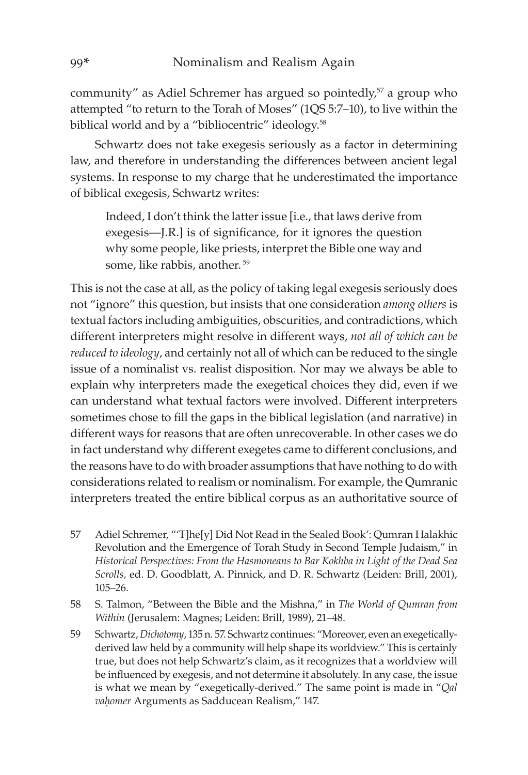community" as Adiel Schremer has argued so pointedly,<sup>57</sup> a group who attempted "to return to the Torah of Moses" (1QS 5:7–10), to live within the biblical world and by a "bibliocentric" ideology.<sup>58</sup>

Schwartz does not take exegesis seriously as a factor in determining law, and therefore in understanding the differences between ancient legal systems. In response to my charge that he underestimated the importance of biblical exegesis, Schwartz writes:

Indeed, I don't think the latter issue [i.e., that laws derive from exegesis—J.R.] is of significance, for it ignores the question why some people, like priests, interpret the Bible one way and some, like rabbis, another. <sup>59</sup>

This is not the case at all, as the policy of taking legal exegesis seriously does not "ignore" this question, but insists that one consideration *among others* is textual factors including ambiguities, obscurities, and contradictions, which different interpreters might resolve in different ways, *not all of which can be reduced to ideology*, and certainly not all of which can be reduced to the single issue of a nominalist vs. realist disposition. Nor may we always be able to explain why interpreters made the exegetical choices they did, even if we can understand what textual factors were involved. Different interpreters sometimes chose to fill the gaps in the biblical legislation (and narrative) in different ways for reasons that are often unrecoverable. In other cases we do in fact understand why different exegetes came to different conclusions, and the reasons have to do with broader assumptions that have nothing to do with considerations related to realism or nominalism. For example, the Qumranic interpreters treated the entire biblical corpus as an authoritative source of

- 57 Adiel Schremer, "'T]he[y] Did Not Read in the Sealed Book': Qumran Halakhic Revolution and the Emergence of Torah Study in Second Temple Judaism," in *Historical Perspectives: From the Hasmoneans to Bar Kokhba in Light of the Dead Sea Scrolls,* ed. D. Goodblatt, A. Pinnick, and D. R. Schwartz (Leiden: Brill, 2001), 105–26.
- 58 S. Talmon, "Between the Bible and the Mishna," in *The World of Qumran from Within* (Jerusalem: Magnes; Leiden: Brill, 1989), 21–48.
- 59 Schwartz, *Dichotomy*, 135 n. 57. Schwartz continues: "Moreover, even an exegeticallyderived law held by a community will help shape its worldview." This is certainly true, but does not help Schwartz's claim, as it recognizes that a worldview will be influenced by exegesis, and not determine it absolutely. In any case, the issue is what we mean by "exegetically-derived." The same point is made in "*Qal*  vahomer Arguments as Sadducean Realism," 147.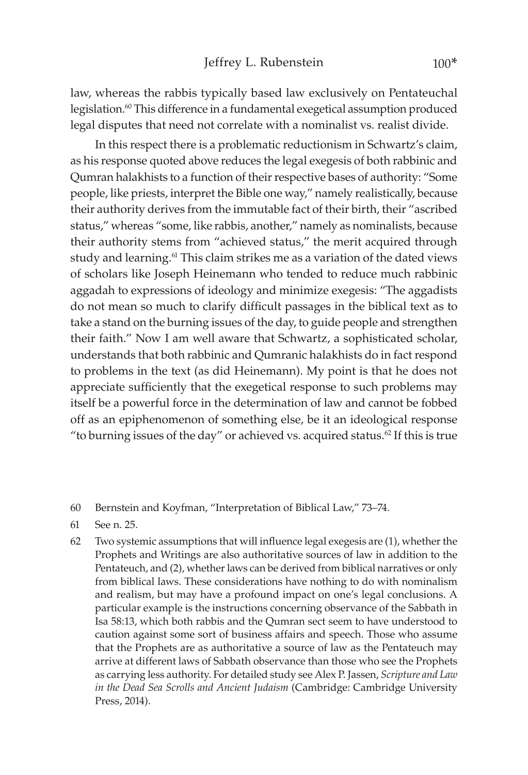law, whereas the rabbis typically based law exclusively on Pentateuchal legislation.<sup>60</sup> This difference in a fundamental exegetical assumption produced legal disputes that need not correlate with a nominalist vs. realist divide.

In this respect there is a problematic reductionism in Schwartz's claim, as his response quoted above reduces the legal exegesis of both rabbinic and Qumran halakhists to a function of their respective bases of authority: "Some people, like priests, interpret the Bible one way," namely realistically, because their authority derives from the immutable fact of their birth, their "ascribed status," whereas "some, like rabbis, another," namely as nominalists, because their authority stems from "achieved status," the merit acquired through study and learning.<sup>61</sup> This claim strikes me as a variation of the dated views of scholars like Joseph Heinemann who tended to reduce much rabbinic aggadah to expressions of ideology and minimize exegesis: "The aggadists do not mean so much to clarify difficult passages in the biblical text as to take a stand on the burning issues of the day, to guide people and strengthen their faith." Now I am well aware that Schwartz, a sophisticated scholar, understands that both rabbinic and Qumranic halakhists do in fact respond to problems in the text (as did Heinemann). My point is that he does not appreciate sufficiently that the exegetical response to such problems may itself be a powerful force in the determination of law and cannot be fobbed off as an epiphenomenon of something else, be it an ideological response "to burning issues of the day" or achieved vs. acquired status.<sup>62</sup> If this is true

60 Bernstein and Koyfman, "Interpretation of Biblical Law," 73–74.

61 See n. 25.

62 Two systemic assumptions that will influence legal exegesis are (1), whether the Prophets and Writings are also authoritative sources of law in addition to the Pentateuch, and (2), whether laws can be derived from biblical narratives or only from biblical laws. These considerations have nothing to do with nominalism and realism, but may have a profound impact on one's legal conclusions. A particular example is the instructions concerning observance of the Sabbath in Isa 58:13, which both rabbis and the Qumran sect seem to have understood to caution against some sort of business affairs and speech. Those who assume that the Prophets are as authoritative a source of law as the Pentateuch may arrive at different laws of Sabbath observance than those who see the Prophets as carrying less authority. For detailed study see Alex P. Jassen, *Scripture and Law in the Dead Sea Scrolls and Ancient Judaism* (Cambridge: Cambridge University Press, 2014).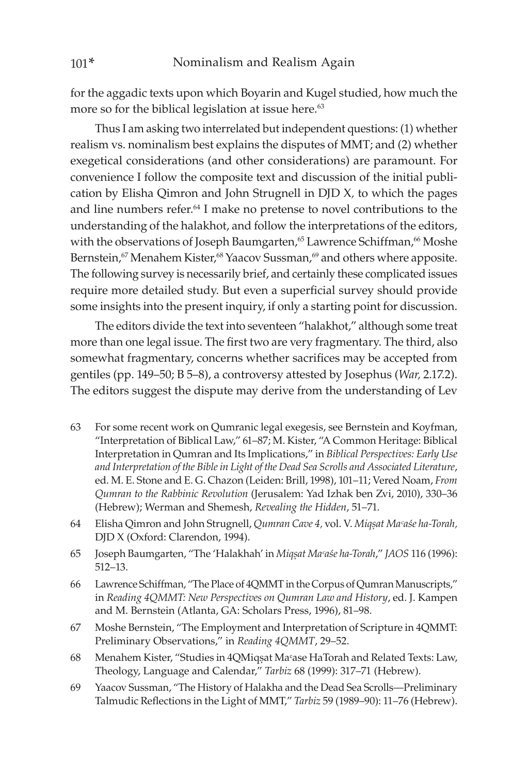for the aggadic texts upon which Boyarin and Kugel studied, how much the more so for the biblical legislation at issue here.<sup>63</sup>

Thus I am asking two interrelated but independent questions: (1) whether realism vs. nominalism best explains the disputes of MMT; and (2) whether exegetical considerations (and other considerations) are paramount. For convenience I follow the composite text and discussion of the initial publication by Elisha Qimron and John Strugnell in DJD X*,* to which the pages and line numbers refer.<sup>64</sup> I make no pretense to novel contributions to the understanding of the halakhot, and follow the interpretations of the editors, with the observations of Joseph Baumgarten,<sup>65</sup> Lawrence Schiffman,<sup>66</sup> Moshe Bernstein,<sup>67</sup> Menahem Kister,<sup>68</sup> Yaacov Sussman,<sup>69</sup> and others where apposite. The following survey is necessarily brief, and certainly these complicated issues require more detailed study. But even a superficial survey should provide some insights into the present inquiry, if only a starting point for discussion.

The editors divide the text into seventeen "halakhot," although some treat more than one legal issue. The first two are very fragmentary. The third, also somewhat fragmentary, concerns whether sacrifices may be accepted from gentiles (pp. 149–50; B 5–8), a controversy attested by Josephus (*War,* 2.17.2). The editors suggest the dispute may derive from the understanding of Lev

- 63 For some recent work on Qumranic legal exegesis, see Bernstein and Koyfman, "Interpretation of Biblical Law," 61–87; M. Kister, "A Common Heritage: Biblical Interpretation in Qumran and Its Implications," in *Biblical Perspectives: Early Use and Interpretation of the Bible in Light of the Dead Sea Scrolls and Associated Literature*, ed. M. E. Stone and E. G. Chazon (Leiden: Brill, 1998), 101–11; Vered Noam, *From Qumran to the Rabbinic Revolution* (Jerusalem: Yad Izhak ben Zvi, 2010), 330–36 (Hebrew); Werman and Shemesh, *Revealing the Hidden*, 51–71.
- 64 Elisha Qimron and John Strugnell, *Qumran Cave 4,* vol. V. *Miqúat Maᶜaùe ha-Torah,*  DJD X (Oxford: Clarendon, 1994).
- 65 Joseph Baumgarten, "The 'Halakhah' in *Miqúat Maᶜaùe ha-Torah*," *JAOS* 116 (1996): 512–13.
- 66 Lawrence Schiffman, "The Place of 4QMMT in the Corpus of Qumran Manuscripts," in *Reading 4QMMT: New Perspectives on Qumran Law and History*, ed. J. Kampen and M. Bernstein (Atlanta, GA: Scholars Press, 1996), 81–98.
- 67 Moshe Bernstein, "The Employment and Interpretation of Scripture in 4QMMT: Preliminary Observations," in *Reading 4QMMT*, 29–52.
- 68 Menahem Kister, "Studies in 4QMiqsat Ma°ase HaTorah and Related Texts: Law, Theology, Language and Calendar," *Tarbiz* 68 (1999): 317–71 (Hebrew).
- 69 Yaacov Sussman, "The History of Halakha and the Dead Sea Scrolls—Preliminary Talmudic Reflections in the Light of MMT," *Tarbiz* 59 (1989–90): 11–76 (Hebrew).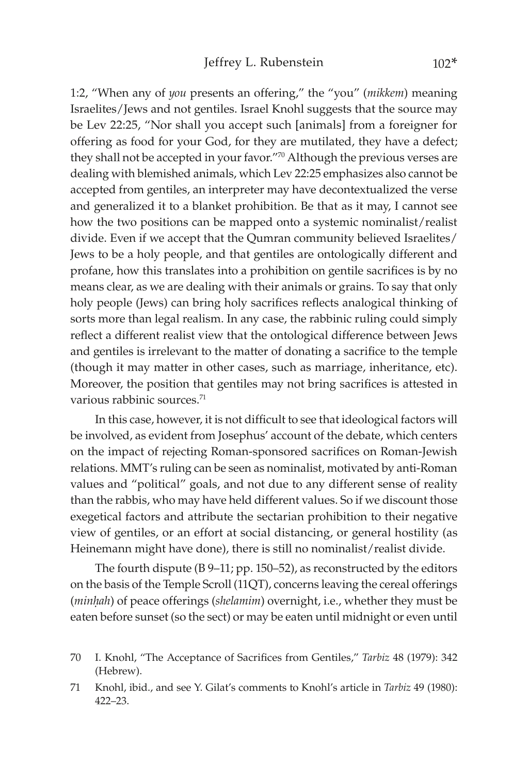1:2, "When any of *you* presents an offering," the "you" (*mikkem*) meaning Israelites/Jews and not gentiles. Israel Knohl suggests that the source may be Lev 22:25, "Nor shall you accept such [animals] from a foreigner for offering as food for your God, for they are mutilated, they have a defect; they shall not be accepted in your favor."70 Although the previous verses are dealing with blemished animals, which Lev 22:25 emphasizes also cannot be accepted from gentiles, an interpreter may have decontextualized the verse and generalized it to a blanket prohibition. Be that as it may, I cannot see how the two positions can be mapped onto a systemic nominalist/realist divide. Even if we accept that the Qumran community believed Israelites/ Jews to be a holy people, and that gentiles are ontologically different and profane, how this translates into a prohibition on gentile sacrifices is by no means clear, as we are dealing with their animals or grains. To say that only holy people (Jews) can bring holy sacrifices reflects analogical thinking of sorts more than legal realism. In any case, the rabbinic ruling could simply reflect a different realist view that the ontological difference between Jews and gentiles is irrelevant to the matter of donating a sacrifice to the temple (though it may matter in other cases, such as marriage, inheritance, etc). Moreover, the position that gentiles may not bring sacrifices is attested in various rabbinic sources.<sup>71</sup>

In this case, however, it is not difficult to see that ideological factors will be involved, as evident from Josephus' account of the debate, which centers on the impact of rejecting Roman-sponsored sacrifices on Roman-Jewish relations. MMT's ruling can be seen as nominalist, motivated by anti-Roman values and "political" goals, and not due to any different sense of reality than the rabbis, who may have held different values. So if we discount those exegetical factors and attribute the sectarian prohibition to their negative view of gentiles, or an effort at social distancing, or general hostility (as Heinemann might have done), there is still no nominalist/realist divide.

The fourth dispute (B 9–11; pp. 150–52), as reconstructed by the editors on the basis of the Temple Scroll (11QT), concerns leaving the cereal offerings (*minhah*) of peace offerings (*shelamim*) overnight, i.e., whether they must be eaten before sunset (so the sect) or may be eaten until midnight or even until

<sup>70</sup> I. Knohl, "The Acceptance of Sacrifices from Gentiles," *Tarbiz* 48 (1979): 342 (Hebrew).

<sup>71</sup> Knohl, ibid., and see Y. Gilat's comments to Knohl's article in *Tarbiz* 49 (1980): 422–23.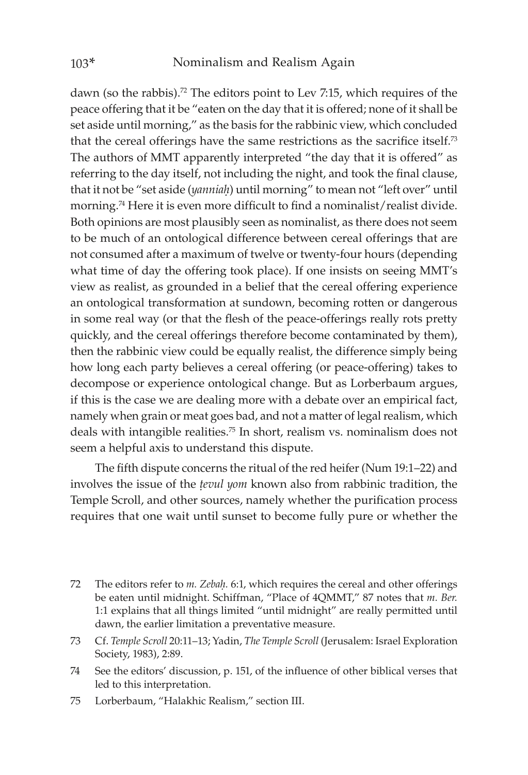dawn (so the rabbis).<sup>72</sup> The editors point to Lev 7:15, which requires of the peace offering that it be "eaten on the day that it is offered; none of it shall be set aside until morning," as the basis for the rabbinic view, which concluded that the cereal offerings have the same restrictions as the sacrifice itself.<sup>73</sup> The authors of MMT apparently interpreted "the day that it is offered" as referring to the day itself, not including the night, and took the final clause, that it not be "set aside (*yanniaê*) until morning" to mean not "left over" until morning.74 Here it is even more difficult to find a nominalist/realist divide. Both opinions are most plausibly seen as nominalist, as there does not seem to be much of an ontological difference between cereal offerings that are not consumed after a maximum of twelve or twenty-four hours (depending what time of day the offering took place). If one insists on seeing MMT's view as realist, as grounded in a belief that the cereal offering experience an ontological transformation at sundown, becoming rotten or dangerous in some real way (or that the flesh of the peace-offerings really rots pretty quickly, and the cereal offerings therefore become contaminated by them), then the rabbinic view could be equally realist, the difference simply being how long each party believes a cereal offering (or peace-offering) takes to decompose or experience ontological change. But as Lorberbaum argues, if this is the case we are dealing more with a debate over an empirical fact, namely when grain or meat goes bad, and not a matter of legal realism, which deals with intangible realities.75 In short, realism vs. nominalism does not seem a helpful axis to understand this dispute.

The fifth dispute concerns the ritual of the red heifer (Num 19:1–22) and involves the issue of the *ûevul yom* known also from rabbinic tradition, the Temple Scroll, and other sources, namely whether the purification process requires that one wait until sunset to become fully pure or whether the

- 72 The editors refer to *m. Zebah.* 6:1, which requires the cereal and other offerings be eaten until midnight. Schiffman, "Place of 4QMMT," 87 notes that *m. Ber.* 1:1 explains that all things limited "until midnight" are really permitted until dawn, the earlier limitation a preventative measure.
- 73 Cf. *Temple Scroll* 20:11–13; Yadin, *The Temple Scroll* (Jerusalem: Israel Exploration Society, 1983), 2:89.
- 74 See the editors' discussion, p. 151, of the influence of other biblical verses that led to this interpretation.
- 75 Lorberbaum, "Halakhic Realism," section III.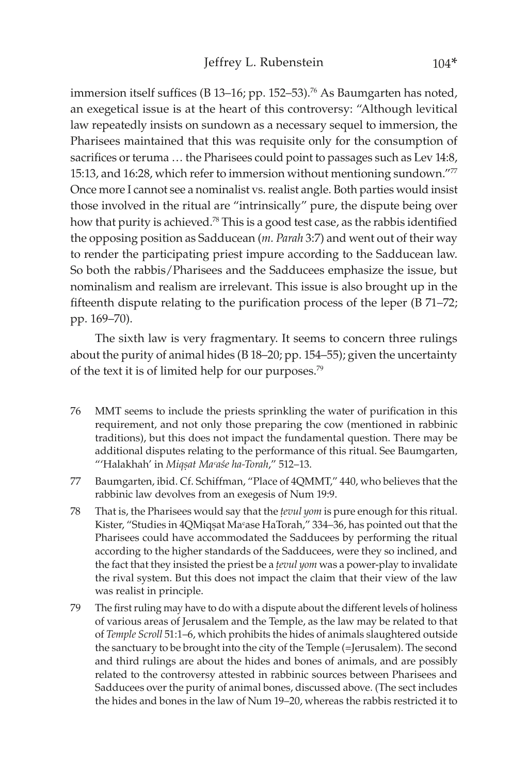immersion itself suffices (B 13–16; pp. 152–53).<sup>76</sup> As Baumgarten has noted, an exegetical issue is at the heart of this controversy: "Although levitical law repeatedly insists on sundown as a necessary sequel to immersion, the Pharisees maintained that this was requisite only for the consumption of sacrifices or teruma ... the Pharisees could point to passages such as Lev 14:8, 15:13, and 16:28, which refer to immersion without mentioning sundown."77 Once more I cannot see a nominalist vs. realist angle. Both parties would insist those involved in the ritual are "intrinsically" pure, the dispute being over how that purity is achieved.<sup>78</sup> This is a good test case, as the rabbis identified the opposing position as Sadducean (*m. Parah* 3:7) and went out of their way to render the participating priest impure according to the Sadducean law. So both the rabbis/Pharisees and the Sadducees emphasize the issue, but nominalism and realism are irrelevant. This issue is also brought up in the fifteenth dispute relating to the purification process of the leper (B 71–72; pp. 169–70).

The sixth law is very fragmentary. It seems to concern three rulings about the purity of animal hides (B 18–20; pp. 154–55); given the uncertainty of the text it is of limited help for our purposes.79

- 76 MMT seems to include the priests sprinkling the water of purification in this requirement, and not only those preparing the cow (mentioned in rabbinic traditions), but this does not impact the fundamental question. There may be additional disputes relating to the performance of this ritual. See Baumgarten, "'Halakhah' in *Miqsat Ma<sup>c</sup>aśe ha-Torah*," 512–13.
- 77 Baumgarten, ibid. Cf. Schiffman, "Place of 4QMMT," 440, who believes that the rabbinic law devolves from an exegesis of Num 19:9.
- 78 That is, the Pharisees would say that the *ûevul yom* is pure enough for this ritual. Kister, "Studies in 4QMiqsat Ma°ase HaTorah," 334–36, has pointed out that the Pharisees could have accommodated the Sadducees by performing the ritual according to the higher standards of the Sadducees, were they so inclined, and the fact that they insisted the priest be a *tevul yom* was a power-play to invalidate the rival system. But this does not impact the claim that their view of the law was realist in principle.
- 79 The first ruling may have to do with a dispute about the different levels of holiness of various areas of Jerusalem and the Temple, as the law may be related to that of *Temple Scroll* 51:1–6, which prohibits the hides of animals slaughtered outside the sanctuary to be brought into the city of the Temple (=Jerusalem). The second and third rulings are about the hides and bones of animals, and are possibly related to the controversy attested in rabbinic sources between Pharisees and Sadducees over the purity of animal bones, discussed above. (The sect includes the hides and bones in the law of Num 19–20, whereas the rabbis restricted it to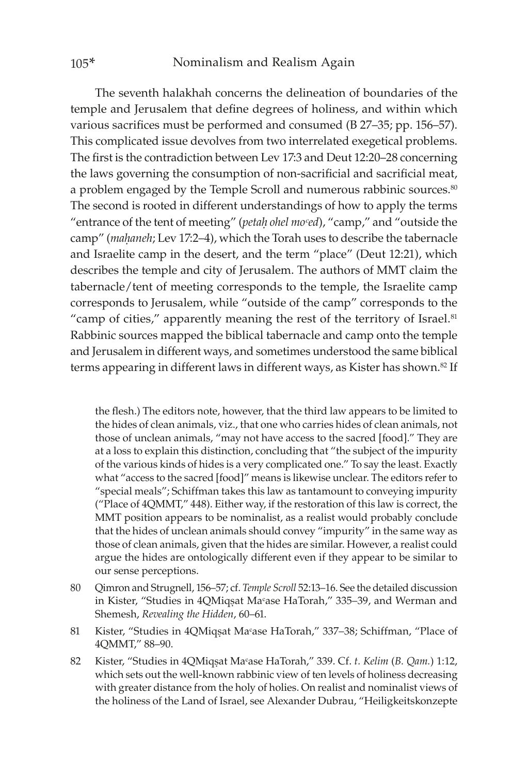The seventh halakhah concerns the delineation of boundaries of the temple and Jerusalem that define degrees of holiness, and within which various sacrifices must be performed and consumed (B 27–35; pp. 156–57). This complicated issue devolves from two interrelated exegetical problems. The first is the contradiction between Lev 17:3 and Deut 12:20–28 concerning the laws governing the consumption of non-sacrificial and sacrificial meat, a problem engaged by the Temple Scroll and numerous rabbinic sources.<sup>80</sup> The second is rooted in different understandings of how to apply the terms "entrance of the tent of meeting" (*petaê ohel moᶜed*), "camp," and "outside the camp" (mahaneh; Lev 17:2-4), which the Torah uses to describe the tabernacle and Israelite camp in the desert, and the term "place" (Deut 12:21), which describes the temple and city of Jerusalem. The authors of MMT claim the tabernacle/tent of meeting corresponds to the temple, the Israelite camp corresponds to Jerusalem, while "outside of the camp" corresponds to the "camp of cities," apparently meaning the rest of the territory of Israel.<sup>81</sup> Rabbinic sources mapped the biblical tabernacle and camp onto the temple and Jerusalem in different ways, and sometimes understood the same biblical terms appearing in different laws in different ways, as Kister has shown.<sup>82</sup> If

the flesh.) The editors note, however, that the third law appears to be limited to the hides of clean animals, viz., that one who carries hides of clean animals, not those of unclean animals, "may not have access to the sacred [food]." They are at a loss to explain this distinction, concluding that "the subject of the impurity of the various kinds of hides is a very complicated one." To say the least. Exactly what "access to the sacred [food]" means is likewise unclear. The editors refer to "special meals"; Schiffman takes this law as tantamount to conveying impurity ("Place of 4QMMT," 448). Either way, if the restoration of this law is correct, the MMT position appears to be nominalist, as a realist would probably conclude that the hides of unclean animals should convey "impurity" in the same way as those of clean animals, given that the hides are similar. However, a realist could argue the hides are ontologically different even if they appear to be similar to our sense perceptions.

- 80 Qimron and Strugnell, 156–57; cf. *Temple Scroll* 52:13–16. See the detailed discussion in Kister, "Studies in 4QMiqsat Ma°ase HaTorah," 335-39, and Werman and Shemesh, *Revealing the Hidden*, 60–61.
- 81 Kister, "Studies in 4QMiqsat Ma°ase HaTorah," 337-38; Schiffman, "Place of 4QMMT," 88–90.
- 82 Kister, "Studies in 4QMiqșat Ma°ase HaTorah," 339. Cf. t. Kelim (B. Qam.) 1:12, which sets out the well-known rabbinic view of ten levels of holiness decreasing with greater distance from the holy of holies. On realist and nominalist views of the holiness of the Land of Israel, see Alexander Dubrau, "Heiligkeitskonzepte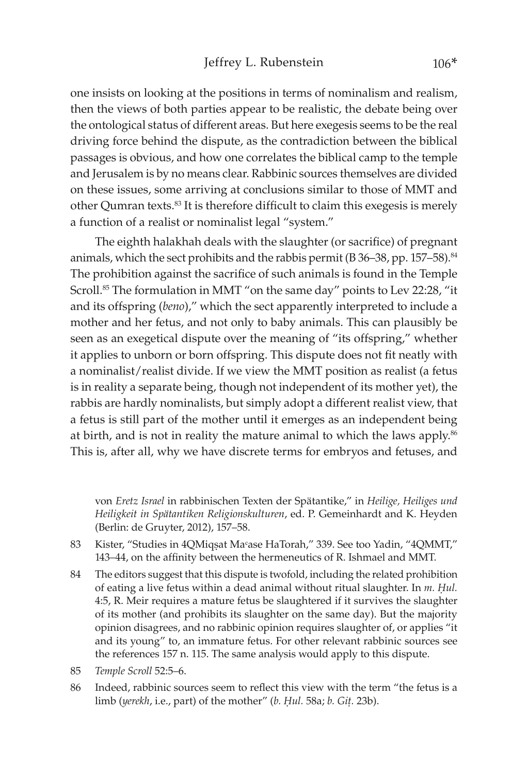one insists on looking at the positions in terms of nominalism and realism, then the views of both parties appear to be realistic, the debate being over the ontological status of different areas. But here exegesis seems to be the real driving force behind the dispute, as the contradiction between the biblical passages is obvious, and how one correlates the biblical camp to the temple and Jerusalem is by no means clear. Rabbinic sources themselves are divided on these issues, some arriving at conclusions similar to those of MMT and other Qumran texts.83 It is therefore difficult to claim this exegesis is merely a function of a realist or nominalist legal "system."

The eighth halakhah deals with the slaughter (or sacrifice) of pregnant animals, which the sect prohibits and the rabbis permit (B  $36-38$ , pp.  $157-58$ ).<sup>84</sup> The prohibition against the sacrifice of such animals is found in the Temple Scroll.<sup>85</sup> The formulation in MMT "on the same day" points to Lev 22:28, "it and its offspring (*beno*)," which the sect apparently interpreted to include a mother and her fetus, and not only to baby animals. This can plausibly be seen as an exegetical dispute over the meaning of "its offspring," whether it applies to unborn or born offspring. This dispute does not fit neatly with a nominalist/realist divide. If we view the MMT position as realist (a fetus is in reality a separate being, though not independent of its mother yet), the rabbis are hardly nominalists, but simply adopt a different realist view, that a fetus is still part of the mother until it emerges as an independent being at birth, and is not in reality the mature animal to which the laws apply.<sup>86</sup> This is, after all, why we have discrete terms for embryos and fetuses, and

von *Eretz Israel* in rabbinischen Texten der Spätantike," in *Heilige, Heiliges und Heiligkeit in Spätantiken Religionskulturen*, ed. P. Gemeinhardt and K. Heyden (Berlin: de Gruyter, 2012), 157–58.

- 83 Kister, "Studies in 4QMiqșat Ma°ase HaTorah," 339. See too Yadin, "4QMMT," 143–44, on the affinity between the hermeneutics of R. Ishmael and MMT.
- 84 The editors suggest that this dispute is twofold, including the related prohibition of eating a live fetus within a dead animal without ritual slaughter. In *m. Êul.*  4:5, R. Meir requires a mature fetus be slaughtered if it survives the slaughter of its mother (and prohibits its slaughter on the same day). But the majority opinion disagrees, and no rabbinic opinion requires slaughter of, or applies "it and its young" to, an immature fetus. For other relevant rabbinic sources see the references 157 n. 115. The same analysis would apply to this dispute.
- 85 *Temple Scroll* 52:5–6.
- 86 Indeed, rabbinic sources seem to reflect this view with the term "the fetus is a limb (*yerekh*, i.e., part) of the mother" (*b. Êul.* 58a; *b. Giû.* 23b).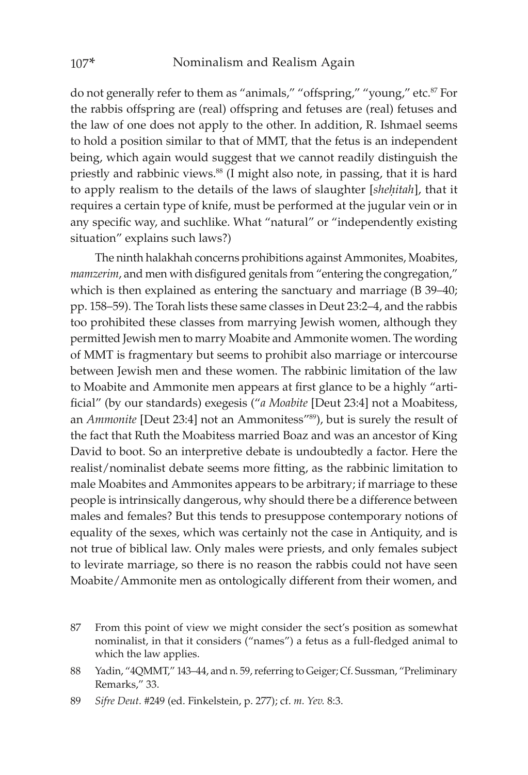do not generally refer to them as "animals," "offspring," "young," etc.<sup>87</sup> For the rabbis offspring are (real) offspring and fetuses are (real) fetuses and the law of one does not apply to the other. In addition, R. Ishmael seems to hold a position similar to that of MMT, that the fetus is an independent being, which again would suggest that we cannot readily distinguish the priestly and rabbinic views.88 (I might also note, in passing, that it is hard to apply realism to the details of the laws of slaughter [*sheêitah*], that it requires a certain type of knife, must be performed at the jugular vein or in any specific way, and suchlike. What "natural" or "independently existing situation" explains such laws?)

The ninth halakhah concerns prohibitions against Ammonites, Moabites, *mamzerim*, and men with disfigured genitals from "entering the congregation," which is then explained as entering the sanctuary and marriage (B 39–40; pp. 158–59). The Torah lists these same classes in Deut 23:2–4, and the rabbis too prohibited these classes from marrying Jewish women, although they permitted Jewish men to marry Moabite and Ammonite women. The wording of MMT is fragmentary but seems to prohibit also marriage or intercourse between Jewish men and these women. The rabbinic limitation of the law to Moabite and Ammonite men appears at first glance to be a highly "artificial" (by our standards) exegesis ("*a Moabite* [Deut 23:4] not a Moabitess, an *Ammonite* [Deut 23:4] not an Ammonitess"89), but is surely the result of the fact that Ruth the Moabitess married Boaz and was an ancestor of King David to boot. So an interpretive debate is undoubtedly a factor. Here the realist/nominalist debate seems more fitting, as the rabbinic limitation to male Moabites and Ammonites appears to be arbitrary; if marriage to these people is intrinsically dangerous, why should there be a difference between males and females? But this tends to presuppose contemporary notions of equality of the sexes, which was certainly not the case in Antiquity, and is not true of biblical law. Only males were priests, and only females subject to levirate marriage, so there is no reason the rabbis could not have seen Moabite/Ammonite men as ontologically different from their women, and

<sup>87</sup> From this point of view we might consider the sect's position as somewhat nominalist, in that it considers ("names") a fetus as a full-fledged animal to which the law applies.

<sup>88</sup> Yadin, "4QMMT," 143–44, and n. 59, referring to Geiger; Cf. Sussman, "Preliminary Remarks," 33.

<sup>89</sup> *Sifre Deut.* #249 (ed. Finkelstein, p. 277); cf. *m. Yev.* 8:3.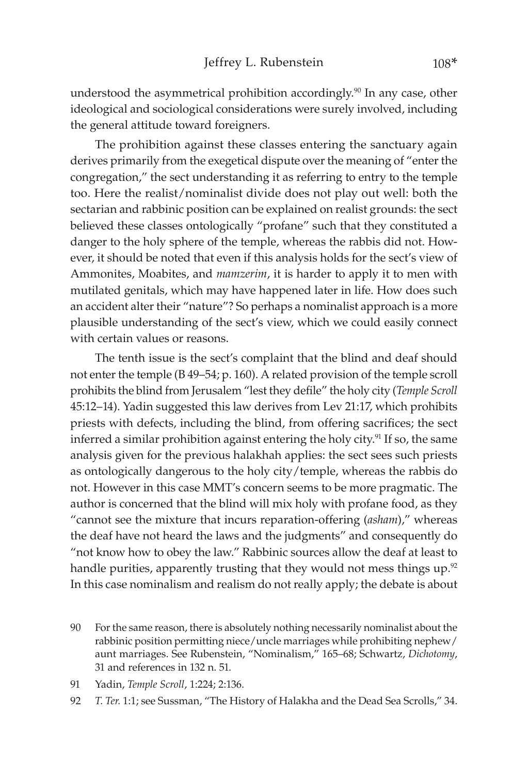understood the asymmetrical prohibition accordingly.<sup>90</sup> In any case, other ideological and sociological considerations were surely involved, including the general attitude toward foreigners.

The prohibition against these classes entering the sanctuary again derives primarily from the exegetical dispute over the meaning of "enter the congregation," the sect understanding it as referring to entry to the temple too. Here the realist/nominalist divide does not play out well: both the sectarian and rabbinic position can be explained on realist grounds: the sect believed these classes ontologically "profane" such that they constituted a danger to the holy sphere of the temple, whereas the rabbis did not. However, it should be noted that even if this analysis holds for the sect's view of Ammonites, Moabites, and *mamzerim*, it is harder to apply it to men with mutilated genitals, which may have happened later in life. How does such an accident alter their "nature"? So perhaps a nominalist approach is a more plausible understanding of the sect's view, which we could easily connect with certain values or reasons.

The tenth issue is the sect's complaint that the blind and deaf should not enter the temple (B 49–54; p. 160). A related provision of the temple scroll prohibits the blind from Jerusalem "lest they defile" the holy city (*Temple Scroll* 45:12–14). Yadin suggested this law derives from Lev 21:17, which prohibits priests with defects, including the blind, from offering sacrifices; the sect inferred a similar prohibition against entering the holy city.<sup>91</sup> If so, the same analysis given for the previous halakhah applies: the sect sees such priests as ontologically dangerous to the holy city/temple, whereas the rabbis do not. However in this case MMT's concern seems to be more pragmatic. The author is concerned that the blind will mix holy with profane food, as they "cannot see the mixture that incurs reparation-offering (*asham*)," whereas the deaf have not heard the laws and the judgments" and consequently do "not know how to obey the law." Rabbinic sources allow the deaf at least to handle purities, apparently trusting that they would not mess things up.<sup>92</sup> In this case nominalism and realism do not really apply; the debate is about

- 90 For the same reason, there is absolutely nothing necessarily nominalist about the rabbinic position permitting niece/uncle marriages while prohibiting nephew/ aunt marriages. See Rubenstein, "Nominalism," 165–68; Schwartz, *Dichotomy*, 31 and references in 132 n. 51.
- 91 Yadin, *Temple Scroll*, 1:224; 2:136.
- 92 *T. Ter.* 1:1; see Sussman, "The History of Halakha and the Dead Sea Scrolls," 34.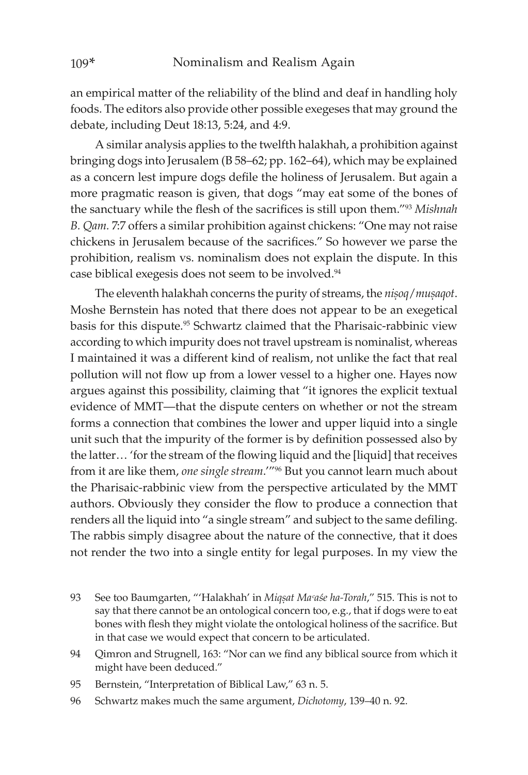an empirical matter of the reliability of the blind and deaf in handling holy foods. The editors also provide other possible exegeses that may ground the debate, including Deut 18:13, 5:24, and 4:9.

A similar analysis applies to the twelfth halakhah, a prohibition against bringing dogs into Jerusalem (B 58–62; pp. 162–64), which may be explained as a concern lest impure dogs defile the holiness of Jerusalem. But again a more pragmatic reason is given, that dogs "may eat some of the bones of the sanctuary while the flesh of the sacrifices is still upon them."<sup>93</sup> *Mishnah B. Qam.* 7:7 offers a similar prohibition against chickens: "One may not raise chickens in Jerusalem because of the sacrifices." So however we parse the prohibition, realism vs. nominalism does not explain the dispute. In this case biblical exegesis does not seem to be involved.<sup>94</sup>

The eleventh halakhah concerns the purity of streams, the *nisoq/musaqot*. Moshe Bernstein has noted that there does not appear to be an exegetical basis for this dispute.<sup>95</sup> Schwartz claimed that the Pharisaic-rabbinic view according to which impurity does not travel upstream is nominalist, whereas I maintained it was a different kind of realism, not unlike the fact that real pollution will not flow up from a lower vessel to a higher one. Hayes now argues against this possibility, claiming that "it ignores the explicit textual evidence of MMT—that the dispute centers on whether or not the stream forms a connection that combines the lower and upper liquid into a single unit such that the impurity of the former is by definition possessed also by the latter… 'for the stream of the flowing liquid and the [liquid] that receives from it are like them, *one single stream*.'"96 But you cannot learn much about the Pharisaic-rabbinic view from the perspective articulated by the MMT authors. Obviously they consider the flow to produce a connection that renders all the liquid into "a single stream" and subject to the same defiling. The rabbis simply disagree about the nature of the connective, that it does not render the two into a single entity for legal purposes. In my view the

- 93 See too Baumgarten, "'Halakhah' in *Miqsat Ma<sup><i>caśe ha*-Torah," 515. This is not to</sub></sup> say that there cannot be an ontological concern too, e.g., that if dogs were to eat bones with flesh they might violate the ontological holiness of the sacrifice. But in that case we would expect that concern to be articulated.
- 94 Qimron and Strugnell, 163: "Nor can we find any biblical source from which it might have been deduced."
- 95 Bernstein, "Interpretation of Biblical Law," 63 n. 5.
- 96 Schwartz makes much the same argument, *Dichotomy*, 139–40 n. 92.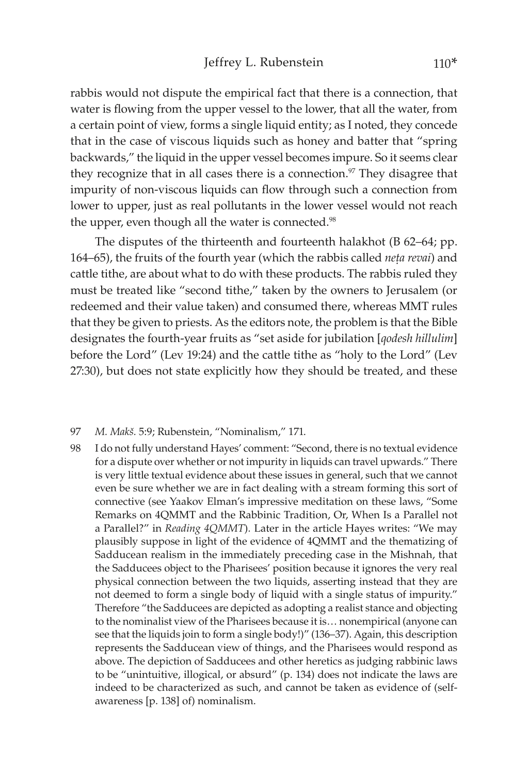rabbis would not dispute the empirical fact that there is a connection, that water is flowing from the upper vessel to the lower, that all the water, from a certain point of view, forms a single liquid entity; as I noted, they concede that in the case of viscous liquids such as honey and batter that "spring backwards," the liquid in the upper vessel becomes impure. So it seems clear they recognize that in all cases there is a connection.<sup>97</sup> They disagree that impurity of non-viscous liquids can flow through such a connection from lower to upper, just as real pollutants in the lower vessel would not reach the upper, even though all the water is connected.<sup>98</sup>

The disputes of the thirteenth and fourteenth halakhot (B 62–64; pp. 164–65), the fruits of the fourth year (which the rabbis called *neta revai*) and cattle tithe, are about what to do with these products. The rabbis ruled they must be treated like "second tithe," taken by the owners to Jerusalem (or redeemed and their value taken) and consumed there, whereas MMT rules that they be given to priests. As the editors note, the problem is that the Bible designates the fourth-year fruits as "set aside for jubilation [*qodesh hillulim*] before the Lord" (Lev 19:24) and the cattle tithe as "holy to the Lord" (Lev 27:30), but does not state explicitly how they should be treated, and these

#### 97 *M. Mak�.* 5:9; Rubenstein, "Nominalism," 171.

98 I do not fully understand Hayes' comment: "Second, there is no textual evidence for a dispute over whether or not impurity in liquids can travel upwards." There is very little textual evidence about these issues in general, such that we cannot even be sure whether we are in fact dealing with a stream forming this sort of connective (see Yaakov Elman's impressive meditation on these laws, "Some Remarks on 4QMMT and the Rabbinic Tradition, Or, When Is a Parallel not a Parallel?" in *Reading 4QMMT*)*.* Later in the article Hayes writes: "We may plausibly suppose in light of the evidence of 4QMMT and the thematizing of Sadducean realism in the immediately preceding case in the Mishnah, that the Sadducees object to the Pharisees' position because it ignores the very real physical connection between the two liquids, asserting instead that they are not deemed to form a single body of liquid with a single status of impurity." Therefore "the Sadducees are depicted as adopting a realist stance and objecting to the nominalist view of the Pharisees because it is… nonempirical (anyone can see that the liquids join to form a single body!)" (136–37). Again, this description represents the Sadducean view of things, and the Pharisees would respond as above. The depiction of Sadducees and other heretics as judging rabbinic laws to be "unintuitive, illogical, or absurd" (p. 134) does not indicate the laws are indeed to be characterized as such, and cannot be taken as evidence of (selfawareness [p. 138] of) nominalism.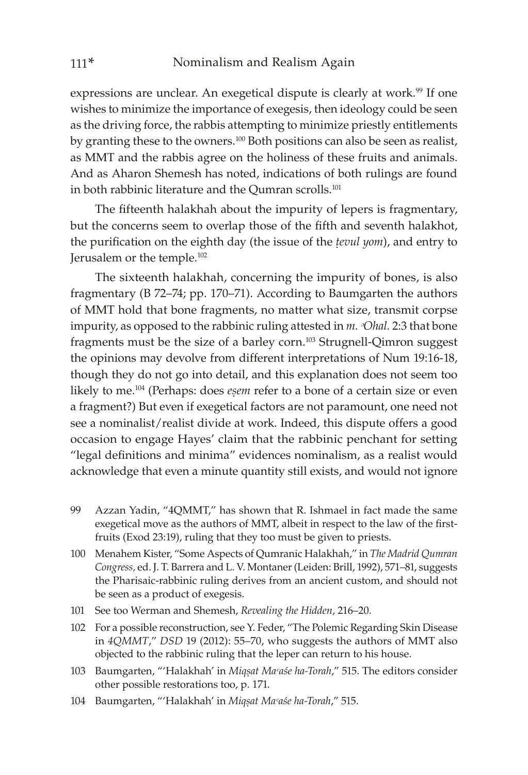expressions are unclear. An exegetical dispute is clearly at work.<sup>99</sup> If one wishes to minimize the importance of exegesis, then ideology could be seen as the driving force, the rabbis attempting to minimize priestly entitlements by granting these to the owners.<sup>100</sup> Both positions can also be seen as realist, as MMT and the rabbis agree on the holiness of these fruits and animals. And as Aharon Shemesh has noted, indications of both rulings are found in both rabbinic literature and the Qumran scrolls.<sup>101</sup>

The fifteenth halakhah about the impurity of lepers is fragmentary, but the concerns seem to overlap those of the fifth and seventh halakhot, the purification on the eighth day (the issue of the *ûevul yom*), and entry to Jerusalem or the temple.102

The sixteenth halakhah, concerning the impurity of bones, is also fragmentary (B 72–74; pp. 170–71). According to Baumgarten the authors of MMT hold that bone fragments, no matter what size, transmit corpse impurity, as opposed to the rabbinic ruling attested in *m. °Ohal.* 2:3 that bone fragments must be the size of a barley corn.103 Strugnell-Qimron suggest the opinions may devolve from different interpretations of Num 19:16-18, though they do not go into detail, and this explanation does not seem too likely to me.<sup>104</sup> (Perhaps: does *eṣem* refer to a bone of a certain size or even a fragment?) But even if exegetical factors are not paramount, one need not see a nominalist/realist divide at work. Indeed, this dispute offers a good occasion to engage Hayes' claim that the rabbinic penchant for setting "legal definitions and minima" evidences nominalism, as a realist would acknowledge that even a minute quantity still exists, and would not ignore

- 99 Azzan Yadin, "4QMMT," has shown that R. Ishmael in fact made the same exegetical move as the authors of MMT, albeit in respect to the law of the firstfruits (Exod 23:19), ruling that they too must be given to priests.
- 100 Menahem Kister, "Some Aspects of Qumranic Halakhah," in *The Madrid Qumran Congress,* ed. J. T. Barrera and L. V. Montaner (Leiden: Brill, 1992), 571–81, suggests the Pharisaic-rabbinic ruling derives from an ancient custom, and should not be seen as a product of exegesis.
- 101 See too Werman and Shemesh, *Revealing the Hidden*, 216–20.
- 102 For a possible reconstruction, see Y. Feder, "The Polemic Regarding Skin Disease in *4QMMT*," *DSD* 19 (2012): 55–70, who suggests the authors of MMT also objected to the rabbinic ruling that the leper can return to his house.
- 103 Baumgarten, "'Halakhah' in *Miqsat Ma<sup><i>çaśe ha*-Torah," 515. The editors consider</sub></sup> other possible restorations too, p. 171.
- 104 Baumgarten, "'Halakhah' in Miqsat Ma<sup>c</sup>aśe ha-Torah," 515.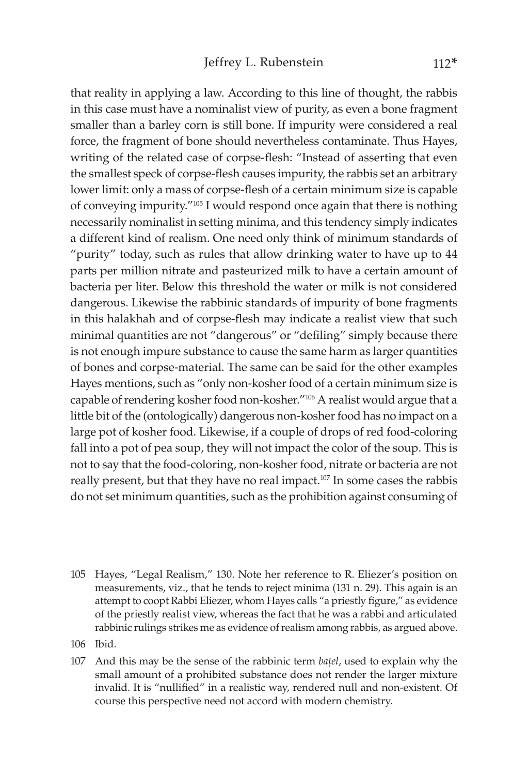that reality in applying a law. According to this line of thought, the rabbis in this case must have a nominalist view of purity, as even a bone fragment smaller than a barley corn is still bone. If impurity were considered a real force, the fragment of bone should nevertheless contaminate. Thus Hayes, writing of the related case of corpse-flesh: "Instead of asserting that even the smallest speck of corpse-flesh causes impurity, the rabbis set an arbitrary lower limit: only a mass of corpse-flesh of a certain minimum size is capable of conveying impurity."105 I would respond once again that there is nothing necessarily nominalist in setting minima, and this tendency simply indicates a different kind of realism. One need only think of minimum standards of "purity" today, such as rules that allow drinking water to have up to 44 parts per million nitrate and pasteurized milk to have a certain amount of bacteria per liter. Below this threshold the water or milk is not considered dangerous. Likewise the rabbinic standards of impurity of bone fragments in this halakhah and of corpse-flesh may indicate a realist view that such minimal quantities are not "dangerous" or "defiling" simply because there is not enough impure substance to cause the same harm as larger quantities of bones and corpse-material. The same can be said for the other examples Hayes mentions, such as "only non-kosher food of a certain minimum size is capable of rendering kosher food non-kosher."106 A realist would argue that a little bit of the (ontologically) dangerous non-kosher food has no impact on a large pot of kosher food. Likewise, if a couple of drops of red food-coloring fall into a pot of pea soup, they will not impact the color of the soup. This is not to say that the food-coloring, non-kosher food, nitrate or bacteria are not really present, but that they have no real impact.<sup>107</sup> In some cases the rabbis do not set minimum quantities, such as the prohibition against consuming of

105 Hayes, "Legal Realism," 130. Note her reference to R. Eliezer's position on measurements, viz., that he tends to reject minima (131 n. 29). This again is an attempt to coopt Rabbi Eliezer, whom Hayes calls "a priestly figure," as evidence of the priestly realist view, whereas the fact that he was a rabbi and articulated rabbinic rulings strikes me as evidence of realism among rabbis, as argued above.

106 Ibid.

107 And this may be the sense of the rabbinic term *batel*, used to explain why the small amount of a prohibited substance does not render the larger mixture invalid. It is "nullified" in a realistic way, rendered null and non-existent. Of course this perspective need not accord with modern chemistry.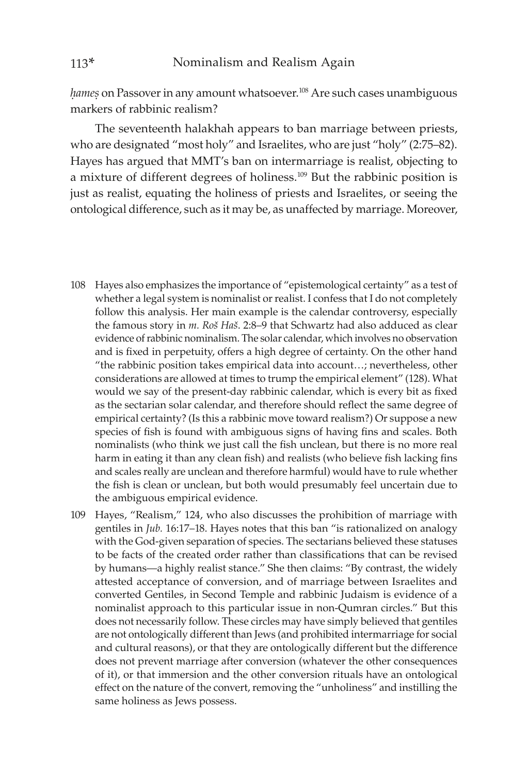hames on Passover in any amount whatsoever.<sup>108</sup> Are such cases unambiguous markers of rabbinic realism?

The seventeenth halakhah appears to ban marriage between priests, who are designated "most holy" and Israelites, who are just "holy" (2:75–82). Hayes has argued that MMT's ban on intermarriage is realist, objecting to a mixture of different degrees of holiness.<sup>109</sup> But the rabbinic position is just as realist, equating the holiness of priests and Israelites, or seeing the ontological difference, such as it may be, as unaffected by marriage. Moreover,

- 108 Hayes also emphasizes the importance of "epistemological certainty" as a test of whether a legal system is nominalist or realist. I confess that I do not completely follow this analysis. Her main example is the calendar controversy, especially the famous story in *m. Ro� Ha�*. 2:8–9 that Schwartz had also adduced as clear evidence of rabbinic nominalism. The solar calendar, which involves no observation and is fixed in perpetuity, offers a high degree of certainty. On the other hand "the rabbinic position takes empirical data into account…; nevertheless, other considerations are allowed at times to trump the empirical element" (128). What would we say of the present-day rabbinic calendar, which is every bit as fixed as the sectarian solar calendar, and therefore should reflect the same degree of empirical certainty? (Is this a rabbinic move toward realism?) Or suppose a new species of fish is found with ambiguous signs of having fins and scales. Both nominalists (who think we just call the fish unclean, but there is no more real harm in eating it than any clean fish) and realists (who believe fish lacking fins and scales really are unclean and therefore harmful) would have to rule whether the fish is clean or unclean, but both would presumably feel uncertain due to the ambiguous empirical evidence.
- 109 Hayes, "Realism," 124, who also discusses the prohibition of marriage with gentiles in *Jub.* 16:17–18. Hayes notes that this ban "is rationalized on analogy with the God-given separation of species. The sectarians believed these statuses to be facts of the created order rather than classifications that can be revised by humans—a highly realist stance." She then claims: "By contrast, the widely attested acceptance of conversion, and of marriage between Israelites and converted Gentiles, in Second Temple and rabbinic Judaism is evidence of a nominalist approach to this particular issue in non-Qumran circles." But this does not necessarily follow. These circles may have simply believed that gentiles are not ontologically different than Jews (and prohibited intermarriage for social and cultural reasons), or that they are ontologically different but the difference does not prevent marriage after conversion (whatever the other consequences of it), or that immersion and the other conversion rituals have an ontological effect on the nature of the convert, removing the "unholiness" and instilling the same holiness as Jews possess.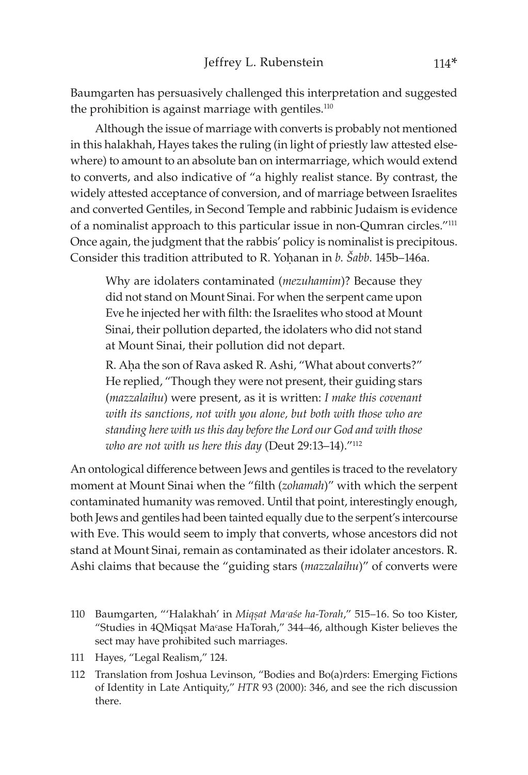Baumgarten has persuasively challenged this interpretation and suggested the prohibition is against marriage with gentiles.<sup>110</sup>

Although the issue of marriage with converts is probably not mentioned in this halakhah, Hayes takes the ruling (in light of priestly law attested elsewhere) to amount to an absolute ban on intermarriage, which would extend to converts, and also indicative of "a highly realist stance. By contrast, the widely attested acceptance of conversion, and of marriage between Israelites and converted Gentiles, in Second Temple and rabbinic Judaism is evidence of a nominalist approach to this particular issue in non-Qumran circles."111 Once again, the judgment that the rabbis' policy is nominalist is precipitous. Consider this tradition attributed to R. Yohanan in *b. Šabb.* 145b–146a.

Why are idolaters contaminated (*mezuhamim*)? Because they did not stand on Mount Sinai. For when the serpent came upon Eve he injected her with filth: the Israelites who stood at Mount Sinai, their pollution departed, the idolaters who did not stand at Mount Sinai, their pollution did not depart.

R. Aha the son of Rava asked R. Ashi, "What about converts?" He replied, "Though they were not present, their guiding stars (*mazzalaihu*) were present, as it is written: *I make this covenant with its sanctions, not with you alone, but both with those who are standing here with us this day before the Lord our God and with those who are not with us here this day* (Deut 29:13–14)."112

An ontological difference between Jews and gentiles is traced to the revelatory moment at Mount Sinai when the "filth (*zohamah*)" with which the serpent contaminated humanity was removed. Until that point, interestingly enough, both Jews and gentiles had been tainted equally due to the serpent's intercourse with Eve. This would seem to imply that converts, whose ancestors did not stand at Mount Sinai, remain as contaminated as their idolater ancestors. R. Ashi claims that because the "guiding stars (*mazzalaihu*)" of converts were

- 110 Baumgarten, "'Halakhah' in *Miqsat Ma<sup>c</sup>aśe ha-Torah*," 515–16. So too Kister, "Studies in 4QMiqsat Ma°ase HaTorah," 344-46, although Kister believes the sect may have prohibited such marriages.
- 111 Hayes, "Legal Realism," 124.
- 112 Translation from Joshua Levinson, "Bodies and Bo(a)rders: Emerging Fictions of Identity in Late Antiquity," *HTR* 93 (2000): 346, and see the rich discussion there.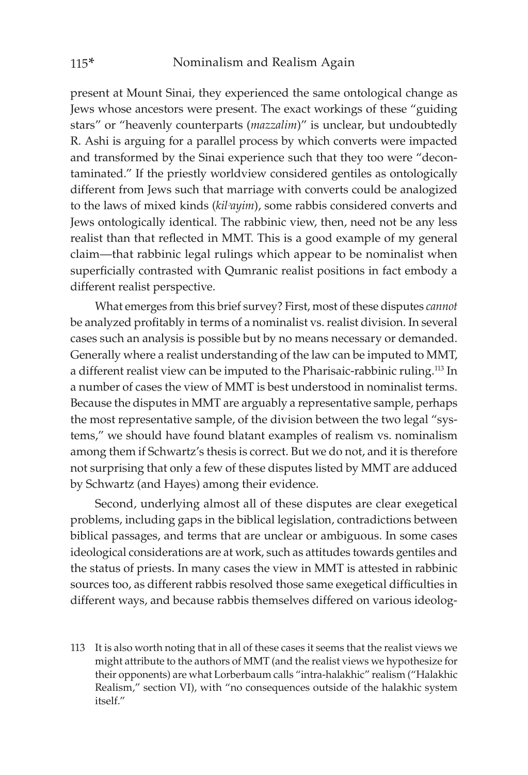present at Mount Sinai, they experienced the same ontological change as Jews whose ancestors were present. The exact workings of these "guiding stars" or "heavenly counterparts (*mazzalim*)" is unclear, but undoubtedly R. Ashi is arguing for a parallel process by which converts were impacted and transformed by the Sinai experience such that they too were "decontaminated." If the priestly worldview considered gentiles as ontologically different from Jews such that marriage with converts could be analogized to the laws of mixed kinds (*kil<sup>3</sup>ayim*), some rabbis considered converts and Jews ontologically identical. The rabbinic view, then, need not be any less realist than that reflected in MMT. This is a good example of my general claim—that rabbinic legal rulings which appear to be nominalist when superficially contrasted with Qumranic realist positions in fact embody a different realist perspective.

What emerges from this brief survey? First, most of these disputes *cannot* be analyzed profitably in terms of a nominalist vs. realist division. In several cases such an analysis is possible but by no means necessary or demanded. Generally where a realist understanding of the law can be imputed to MMT, a different realist view can be imputed to the Pharisaic-rabbinic ruling.113 In a number of cases the view of MMT is best understood in nominalist terms. Because the disputes in MMT are arguably a representative sample, perhaps the most representative sample, of the division between the two legal "systems," we should have found blatant examples of realism vs. nominalism among them if Schwartz's thesis is correct. But we do not, and it is therefore not surprising that only a few of these disputes listed by MMT are adduced by Schwartz (and Hayes) among their evidence.

Second, underlying almost all of these disputes are clear exegetical problems, including gaps in the biblical legislation, contradictions between biblical passages, and terms that are unclear or ambiguous. In some cases ideological considerations are at work, such as attitudes towards gentiles and the status of priests. In many cases the view in MMT is attested in rabbinic sources too, as different rabbis resolved those same exegetical difficulties in different ways, and because rabbis themselves differed on various ideolog-

113 It is also worth noting that in all of these cases it seems that the realist views we might attribute to the authors of MMT (and the realist views we hypothesize for their opponents) are what Lorberbaum calls "intra-halakhic" realism ("Halakhic Realism," section VI), with "no consequences outside of the halakhic system itself."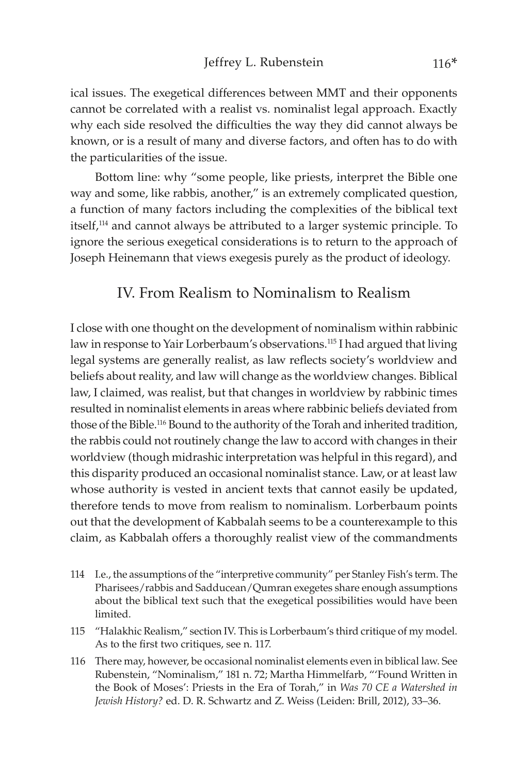ical issues. The exegetical differences between MMT and their opponents cannot be correlated with a realist vs. nominalist legal approach. Exactly why each side resolved the difficulties the way they did cannot always be known, or is a result of many and diverse factors, and often has to do with the particularities of the issue.

Bottom line: why "some people, like priests, interpret the Bible one way and some, like rabbis, another," is an extremely complicated question, a function of many factors including the complexities of the biblical text itself,114 and cannot always be attributed to a larger systemic principle. To ignore the serious exegetical considerations is to return to the approach of Joseph Heinemann that views exegesis purely as the product of ideology.

#### IV. From Realism to Nominalism to Realism

I close with one thought on the development of nominalism within rabbinic law in response to Yair Lorberbaum's observations.115 I had argued that living legal systems are generally realist, as law reflects society's worldview and beliefs about reality, and law will change as the worldview changes. Biblical law, I claimed, was realist, but that changes in worldview by rabbinic times resulted in nominalist elements in areas where rabbinic beliefs deviated from those of the Bible.116 Bound to the authority of the Torah and inherited tradition, the rabbis could not routinely change the law to accord with changes in their worldview (though midrashic interpretation was helpful in this regard), and this disparity produced an occasional nominalist stance. Law, or at least law whose authority is vested in ancient texts that cannot easily be updated, therefore tends to move from realism to nominalism. Lorberbaum points out that the development of Kabbalah seems to be a counterexample to this claim, as Kabbalah offers a thoroughly realist view of the commandments

- 114 I.e., the assumptions of the "interpretive community" per Stanley Fish's term. The Pharisees/rabbis and Sadducean/Qumran exegetes share enough assumptions about the biblical text such that the exegetical possibilities would have been limited.
- 115 "Halakhic Realism," section IV. This is Lorberbaum's third critique of my model. As to the first two critiques, see n. 117.
- 116 There may, however, be occasional nominalist elements even in biblical law. See Rubenstein, "Nominalism," 181 n. 72; Martha Himmelfarb, "'Found Written in the Book of Moses': Priests in the Era of Torah," in *Was 70 CE a Watershed in Jewish History?* ed. D. R. Schwartz and Z. Weiss (Leiden: Brill, 2012), 33–36.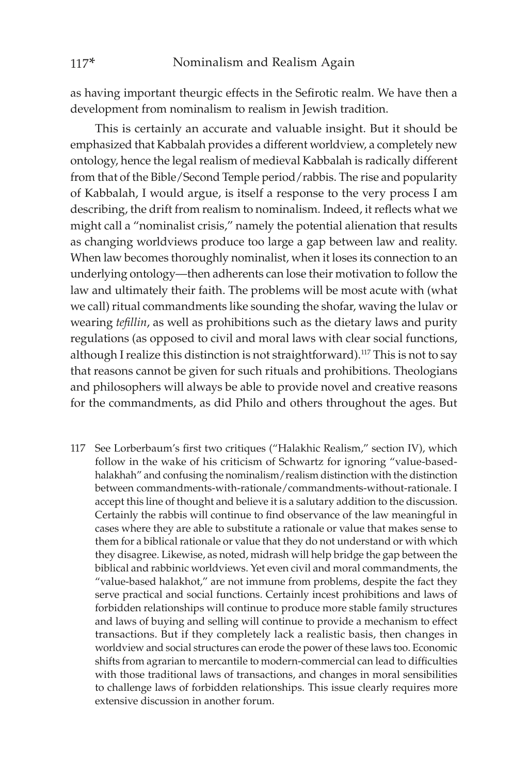as having important theurgic effects in the Sefirotic realm. We have then a development from nominalism to realism in Jewish tradition.

This is certainly an accurate and valuable insight. But it should be emphasized that Kabbalah provides a different worldview, a completely new ontology, hence the legal realism of medieval Kabbalah is radically different from that of the Bible/Second Temple period/rabbis. The rise and popularity of Kabbalah, I would argue, is itself a response to the very process I am describing, the drift from realism to nominalism. Indeed, it reflects what we might call a "nominalist crisis," namely the potential alienation that results as changing worldviews produce too large a gap between law and reality. When law becomes thoroughly nominalist, when it loses its connection to an underlying ontology—then adherents can lose their motivation to follow the law and ultimately their faith. The problems will be most acute with (what we call) ritual commandments like sounding the shofar, waving the lulav or wearing *tefillin*, as well as prohibitions such as the dietary laws and purity regulations (as opposed to civil and moral laws with clear social functions, although I realize this distinction is not straightforward).<sup>117</sup> This is not to say that reasons cannot be given for such rituals and prohibitions. Theologians and philosophers will always be able to provide novel and creative reasons for the commandments, as did Philo and others throughout the ages. But

117 See Lorberbaum's first two critiques ("Halakhic Realism," section IV), which follow in the wake of his criticism of Schwartz for ignoring "value-basedhalakhah" and confusing the nominalism/realism distinction with the distinction between commandments-with-rationale/commandments-without-rationale. I accept this line of thought and believe it is a salutary addition to the discussion. Certainly the rabbis will continue to find observance of the law meaningful in cases where they are able to substitute a rationale or value that makes sense to them for a biblical rationale or value that they do not understand or with which they disagree. Likewise, as noted, midrash will help bridge the gap between the biblical and rabbinic worldviews. Yet even civil and moral commandments, the "value-based halakhot," are not immune from problems, despite the fact they serve practical and social functions. Certainly incest prohibitions and laws of forbidden relationships will continue to produce more stable family structures and laws of buying and selling will continue to provide a mechanism to effect transactions. But if they completely lack a realistic basis, then changes in worldview and social structures can erode the power of these laws too. Economic shifts from agrarian to mercantile to modern-commercial can lead to difficulties with those traditional laws of transactions, and changes in moral sensibilities to challenge laws of forbidden relationships. This issue clearly requires more extensive discussion in another forum.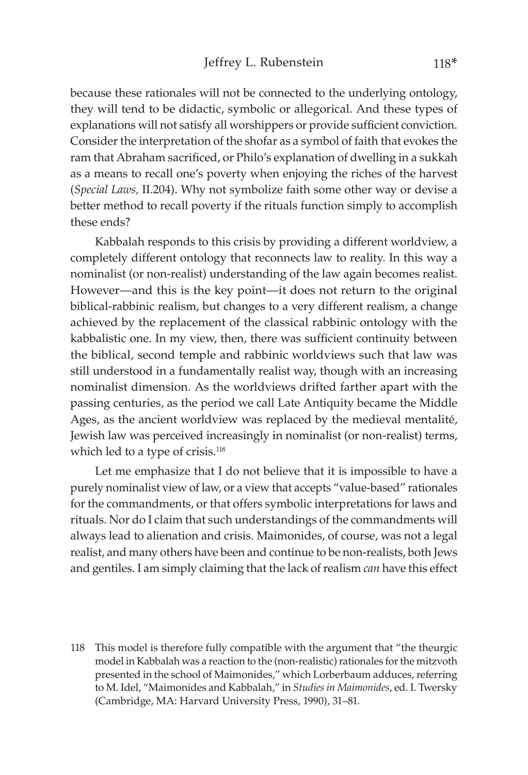because these rationales will not be connected to the underlying ontology, they will tend to be didactic, symbolic or allegorical. And these types of explanations will not satisfy all worshippers or provide sufficient conviction. Consider the interpretation of the shofar as a symbol of faith that evokes the ram that Abraham sacrificed, or Philo's explanation of dwelling in a sukkah as a means to recall one's poverty when enjoying the riches of the harvest (*Special Laws,* II.204). Why not symbolize faith some other way or devise a better method to recall poverty if the rituals function simply to accomplish these ends?

Kabbalah responds to this crisis by providing a different worldview, a completely different ontology that reconnects law to reality. In this way a nominalist (or non-realist) understanding of the law again becomes realist. However—and this is the key point—it does not return to the original biblical-rabbinic realism, but changes to a very different realism, a change achieved by the replacement of the classical rabbinic ontology with the kabbalistic one. In my view, then, there was sufficient continuity between the biblical, second temple and rabbinic worldviews such that law was still understood in a fundamentally realist way, though with an increasing nominalist dimension. As the worldviews drifted farther apart with the passing centuries, as the period we call Late Antiquity became the Middle Ages, as the ancient worldview was replaced by the medieval mentalité, Jewish law was perceived increasingly in nominalist (or non-realist) terms, which led to a type of crisis.<sup>118</sup>

Let me emphasize that I do not believe that it is impossible to have a purely nominalist view of law, or a view that accepts "value-based" rationales for the commandments, or that offers symbolic interpretations for laws and rituals. Nor do I claim that such understandings of the commandments will always lead to alienation and crisis. Maimonides, of course, was not a legal realist, and many others have been and continue to be non-realists, both Jews and gentiles. I am simply claiming that the lack of realism *can* have this effect

<sup>118</sup> This model is therefore fully compatible with the argument that "the theurgic model in Kabbalah was a reaction to the (non-realistic) rationales for the mitzvoth presented in the school of Maimonides," which Lorberbaum adduces, referring to M. Idel, "Maimonides and Kabbalah," in *Studies in Maimonides*, ed. I. Twersky (Cambridge, MA: Harvard University Press, 1990), 31–81.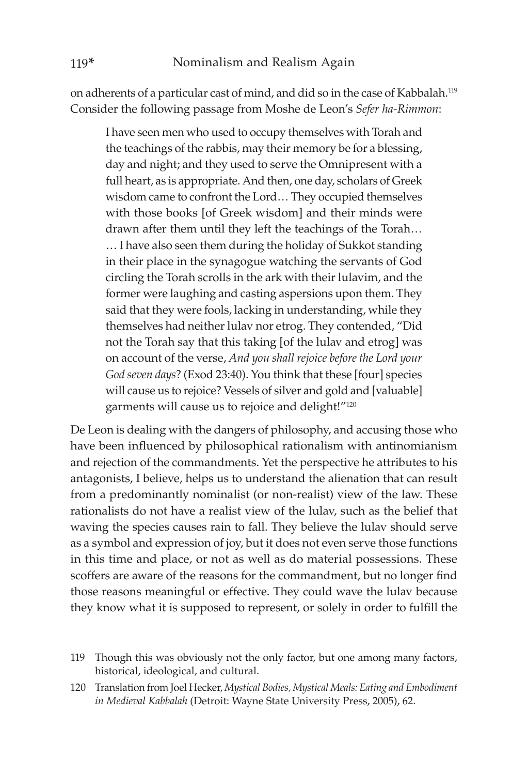on adherents of a particular cast of mind, and did so in the case of Kabbalah.<sup>119</sup> Consider the following passage from Moshe de Leon's *Sefer ha-Rimmon*:

I have seen men who used to occupy themselves with Torah and the teachings of the rabbis, may their memory be for a blessing, day and night; and they used to serve the Omnipresent with a full heart, as is appropriate. And then, one day, scholars of Greek wisdom came to confront the Lord… They occupied themselves with those books [of Greek wisdom] and their minds were drawn after them until they left the teachings of the Torah… … I have also seen them during the holiday of Sukkot standing in their place in the synagogue watching the servants of God circling the Torah scrolls in the ark with their lulavim, and the former were laughing and casting aspersions upon them. They said that they were fools, lacking in understanding, while they themselves had neither lulav nor etrog. They contended, "Did not the Torah say that this taking [of the lulav and etrog] was on account of the verse, *And you shall rejoice before the Lord your God seven days*? (Exod 23:40). You think that these [four] species will cause us to rejoice? Vessels of silver and gold and [valuable] garments will cause us to rejoice and delight!"120

De Leon is dealing with the dangers of philosophy, and accusing those who have been influenced by philosophical rationalism with antinomianism and rejection of the commandments. Yet the perspective he attributes to his antagonists, I believe, helps us to understand the alienation that can result from a predominantly nominalist (or non-realist) view of the law. These rationalists do not have a realist view of the lulav, such as the belief that waving the species causes rain to fall. They believe the lulav should serve as a symbol and expression of joy, but it does not even serve those functions in this time and place, or not as well as do material possessions. These scoffers are aware of the reasons for the commandment, but no longer find those reasons meaningful or effective. They could wave the lulav because they know what it is supposed to represent, or solely in order to fulfill the

<sup>119</sup> Though this was obviously not the only factor, but one among many factors, historical, ideological, and cultural.

<sup>120</sup> Translation from Joel Hecker, *Mystical Bodies, Mystical Meals: Eating and Embodiment in Medieval Kabbalah* (Detroit: Wayne State University Press, 2005), 62.